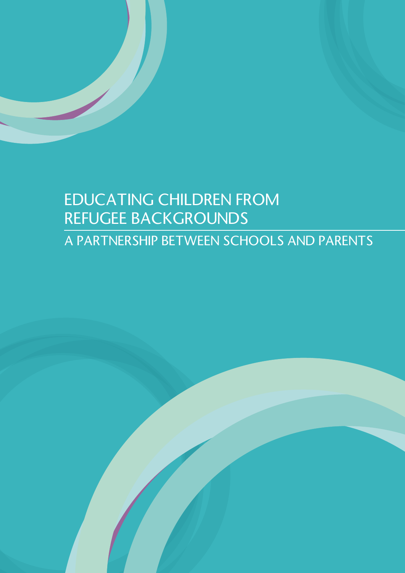# EDUCATING CHILDREN FROM REFUGEE BACKGROUNDS A PARTNERSHIP BETWEEN SCHOOLS AND PARENTS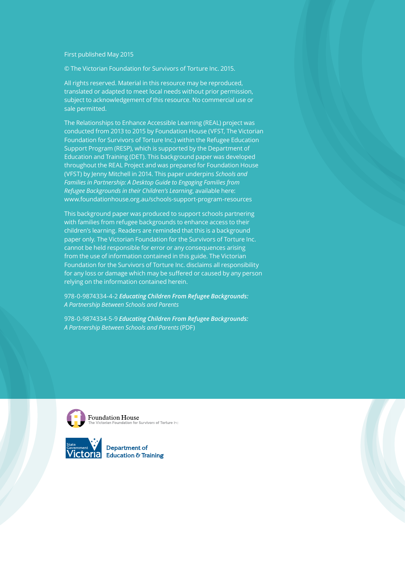First published May 2015

© The Victorian Foundation for Survivors of Torture Inc. 2015.

All rights reserved. Material in this resource may be reproduced, translated or adapted to meet local needs without prior permission, subject to acknowledgement of this resource. No commercial use or sale permitted.

The Relationships to Enhance Accessible Learning (REAL) project was conducted from 2013 to 2015 by Foundation House (VFST, The Victorian Foundation for Survivors of Torture Inc.) within the Refugee Education Support Program (RESP), which is supported by the Department of Education and Training (DET). This background paper was developed throughout the REAL Project and was prepared for Foundation House (VFST) by Jenny Mitchell in 2014. This paper underpins *Schools and Families in Partnership: A Desktop Guide to Engaging Families from Refugee Backgrounds in their Children's Learning*, available here: www.foundationhouse.org.au/schools-support-program-resources

This background paper was produced to support schools partnering with families from refugee backgrounds to enhance access to their children's learning. Readers are reminded that this is a background paper only. The Victorian Foundation for the Survivors of Torture Inc. cannot be held responsible for error or any consequences arising from the use of information contained in this guide. The Victorian Foundation for the Survivors of Torture Inc. disclaims all responsibility for any loss or damage which may be suffered or caused by any person relying on the information contained herein.

978-0-9874334-4-2 *Educating Children From Refugee Backgrounds: A Partnership Between Schools and Parents*

978-0-9874334-5-9 *Educating Children From Refugee Backgrounds: A Partnership Between Schools and Parents* (PDF)



Foundation House<br>The Victorian Foundation for Survivors of Torture Inc.

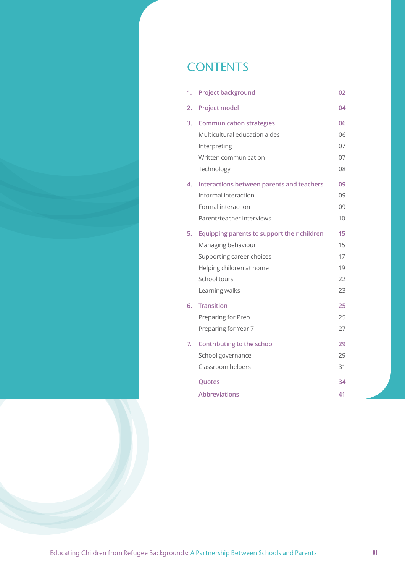# **CONTENTS**

| 1. | <b>Project background</b>                   | 02              |
|----|---------------------------------------------|-----------------|
| 2. | <b>Project model</b>                        | 04              |
| 3. | <b>Communication strategies</b>             | 06              |
|    | Multicultural education aides               | 06              |
|    | Interpreting                                | 07              |
|    | Written communication                       | 07              |
|    | Technology                                  | 08              |
| 4. | Interactions between parents and teachers   | 09              |
|    | Informal interaction                        | 09              |
|    | Formal interaction                          | 09              |
|    | Parent/teacher interviews                   | 10 <sup>1</sup> |
| 5. | Equipping parents to support their children | 15              |
|    | Managing behaviour                          | 15              |
|    | Supporting career choices                   | 17              |
|    | Helping children at home                    | 19              |
|    | School tours                                | 22              |
|    | Learning walks                              | 23              |
| 6. | <b>Transition</b>                           | 25              |
|    | Preparing for Prep                          | 25              |
|    | Preparing for Year 7                        | 27              |
| 7. | <b>Contributing to the school</b>           | 29              |
|    | School governance                           | 29              |
|    | Classroom helpers                           | 31              |
|    | Quotes                                      | 34              |
|    | <b>Abbreviations</b>                        | 41              |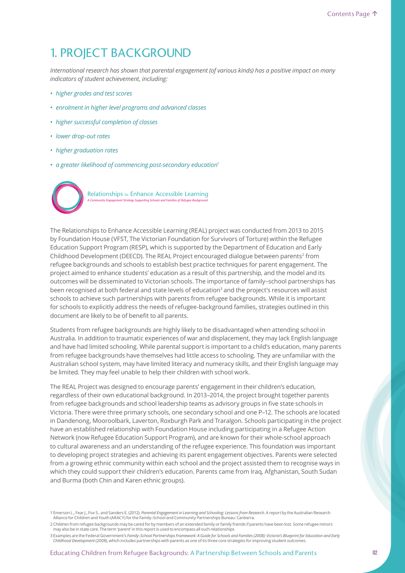# 1. PROJECT BACKGROUND

*International research has shown that parental engagement (of various kinds) has a positive impact on many indicators of student achievement, including:*

- *higher grades and test scores*
- *enrolment in higher level programs and advanced classes*
- *higher successful completion of classes*
- *lower drop-out rates*
- *higher graduation rates*
- *a greater likelihood of commencing post-secondary education<sup>1</sup>*



The Relationships to Enhance Accessible Learning (REAL) project was conducted from 2013 to 2015 by Foundation House (VFST, The Victorian Foundation for Survivors of Torture) within the Refugee Education Support Program (RESP), which is supported by the Department of Education and Early Childhood Development (DEECD). The REAL Project encouraged dialogue between parents<sup>2</sup> from refugee backgrounds and schools to establish best practice techniques for parent engagement. The project aimed to enhance students' education as a result of this partnership, and the model and its outcomes will be disseminated to Victorian schools. The importance of family–school partnerships has been recognised at both federal and state levels of education<sup>3</sup> and the project's resources will assist schools to achieve such partnerships with parents from refugee backgrounds. While it is important for schools to explicitly address the needs of refugee-background families, strategies outlined in this document are likely to be of benefit to all parents.

Students from refugee backgrounds are highly likely to be disadvantaged when attending school in Australia. In addition to traumatic experiences of war and displacement, they may lack English language and have had limited schooling. While parental support is important to a child's education, many parents from refugee backgrounds have themselves had little access to schooling. They are unfamiliar with the Australian school system, may have limited literacy and numeracy skills, and their English language may be limited. They may feel unable to help their children with school work.

The REAL Project was designed to encourage parents' engagement in their children's education, regardless of their own educational background. In 2013–2014, the project brought together parents from refugee backgrounds and school leadership teams as advisory groups in five state schools in Victoria. There were three primary schools, one secondary school and one P–12. The schools are located in Dandenong, Mooroolbark, Laverton, Roxburgh Park and Traralgon. Schools participating in the project have an established relationship with Foundation House including participating in a Refugee Action Network (now Refugee Education Support Program), and are known for their whole-school approach to cultural awareness and an understanding of the refugee experience. This foundation was important to developing project strategies and achieving its parent engagement objectives. Parents were selected from a growing ethnic community within each school and the project assisted them to recognise ways in which they could support their children's education. Parents came from Iraq, Afghanistan, South Sudan and Burma (both Chin and Karen ethnic groups).

<sup>1</sup> Emerson L., Fear J., Fox S., and Sanders E. (2012). *Parental Engagement in Learning and Schooling: Lessons from Research.* A report by the Australian Research<br>Alliance for Children and Youth (ARACY) for the Family–Schoo

<sup>2</sup> Children from refugee backgrounds may be cared for by members of an extended family or family friends if parents have been lost. Some refugee minors<br>may also be in state care. The term 'parent' in this report is used to

<sup>3</sup> Examples are the Federal Government's *Family–School Partnerships Framework: A Guide for Schools and Families (2008); Victoria's Blueprint for Education and Early Childhood Development* (2008), which includes partnerships with parents as one of its three core strategies for improving student outcomes.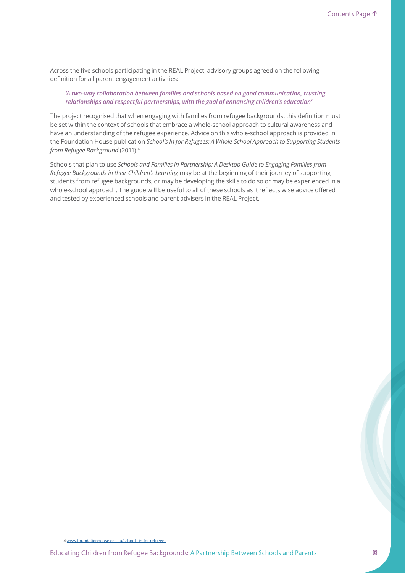Across the five schools participating in the REAL Project, advisory groups agreed on the following definition for all parent engagement activities:

### *'A two-way collaboration between families and schools based on good communication, trusting relationships and respectful partnerships, with the goal of enhancing children's education'*

The project recognised that when engaging with families from refugee backgrounds, this definition must be set within the context of schools that embrace a whole-school approach to cultural awareness and have an understanding of the refugee experience. Advice on this whole-school approach is provided in the Foundation House publication *School's In for Refugees: A Whole-School Approach to Supporting Students from Refugee Background* (2011).<sup>4</sup>

Schools that plan to use *Schools and Families in Partnership: A Desktop Guide to Engaging Families from Refugee Backgrounds in their Children's Learning* may be at the beginning of their journey of supporting students from refugee backgrounds, or may be developing the skills to do so or may be experienced in a whole-school approach. The guide will be useful to all of these schools as it reflects wise advice offered and tested by experienced schools and parent advisers in the REAL Project.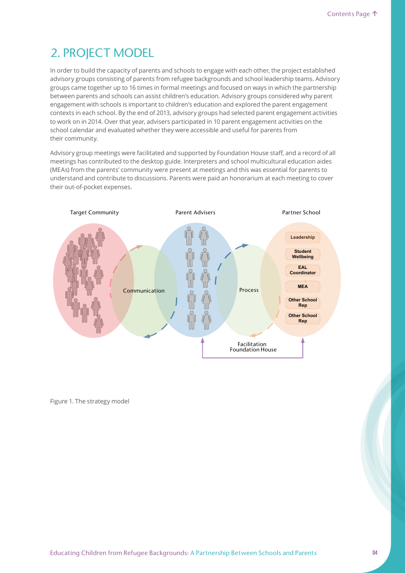# 2. PROJECT MODEL

In order to build the capacity of parents and schools to engage with each other, the project established advisory groups consisting of parents from refugee backgrounds and school leadership teams. Advisory groups came together up to 16 times in formal meetings and focused on ways in which the partnership between parents and schools can assist children's education. Advisory groups considered why parent engagement with schools is important to children's education and explored the parent engagement contexts in each school. By the end of 2013, advisory groups had selected parent engagement activities to work on in 2014. Over that year, advisers participated in 10 parent engagement activities on the school calendar and evaluated whether they were accessible and useful for parents from their community.

Advisory group meetings were facilitated and supported by Foundation House staff, and a record of all meetings has contributed to the desktop guide. Interpreters and school multicultural education aides (MEAs) from the parents' community were present at meetings and this was essential for parents to understand and contribute to discussions. Parents were paid an honorarium at each meeting to cover their out-of-pocket expenses.



Figure 1. The strategy model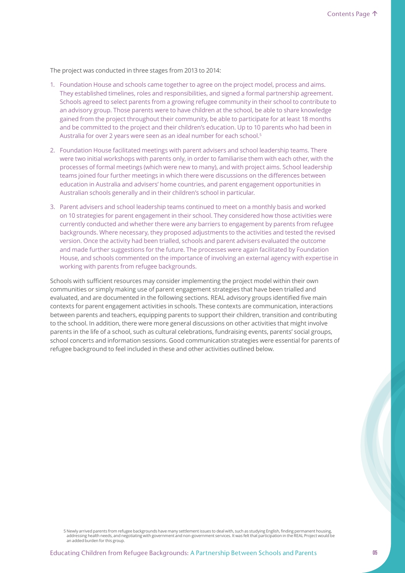The project was conducted in three stages from 2013 to 2014:

- 1. Foundation House and schools came together to agree on the project model, process and aims. They established timelines, roles and responsibilities, and signed a formal partnership agreement. Schools agreed to select parents from a growing refugee community in their school to contribute to an advisory group. Those parents were to have children at the school, be able to share knowledge gained from the project throughout their community, be able to participate for at least 18 months and be committed to the project and their children's education. Up to 10 parents who had been in Australia for over 2 years were seen as an ideal number for each school.<sup>5</sup>
- 2. Foundation House facilitated meetings with parent advisers and school leadership teams. There were two initial workshops with parents only, in order to familiarise them with each other, with the processes of formal meetings (which were new to many), and with project aims. School leadership teams joined four further meetings in which there were discussions on the differences between education in Australia and advisers' home countries, and parent engagement opportunities in Australian schools generally and in their children's school in particular.
- 3. Parent advisers and school leadership teams continued to meet on a monthly basis and worked on 10 strategies for parent engagement in their school. They considered how those activities were currently conducted and whether there were any barriers to engagement by parents from refugee backgrounds. Where necessary, they proposed adjustments to the activities and tested the revised version. Once the activity had been trialled, schools and parent advisers evaluated the outcome and made further suggestions for the future. The processes were again facilitated by Foundation House, and schools commented on the importance of involving an external agency with expertise in working with parents from refugee backgrounds.

Schools with sufficient resources may consider implementing the project model within their own communities or simply making use of parent engagement strategies that have been trialled and evaluated, and are documented in the following sections. REAL advisory groups identified five main contexts for parent engagement activities in schools. These contexts are communication, interactions between parents and teachers, equipping parents to support their children, transition and contributing to the school. In addition, there were more general discussions on other activities that might involve parents in the life of a school, such as cultural celebrations, fundraising events, parents' social groups, school concerts and information sessions. Good communication strategies were essential for parents of refugee background to feel included in these and other activities outlined below.

<sup>5</sup> Newly arrived parents from refugee backgrounds have many settlement issues to deal with, such as studying English, finding permanent housing,<br>addressing health needs, and negotiating with government and non-government se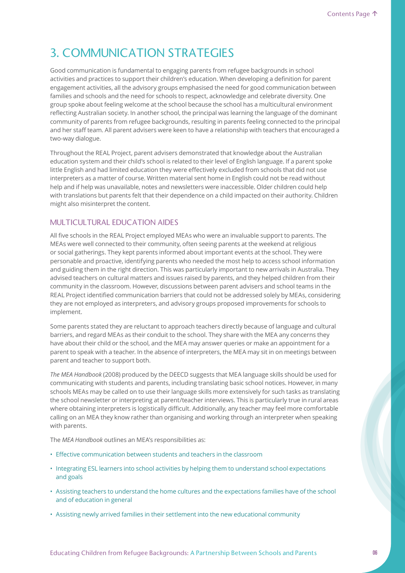# 3. COMMUNICATION STRATEGIES

Good communication is fundamental to engaging parents from refugee backgrounds in school activities and practices to support their children's education. When developing a definition for parent engagement activities, all the advisory groups emphasised the need for good communication between families and schools and the need for schools to respect, acknowledge and celebrate diversity. One group spoke about feeling welcome at the school because the school has a multicultural environment reflecting Australian society. In another school, the principal was learning the language of the dominant community of parents from refugee backgrounds, resulting in parents feeling connected to the principal and her staff team. All parent advisers were keen to have a relationship with teachers that encouraged a two-way dialogue.

Throughout the REAL Project, parent advisers demonstrated that knowledge about the Australian education system and their child's school is related to their level of English language. If a parent spoke little English and had limited education they were effectively excluded from schools that did not use interpreters as a matter of course. Written material sent home in English could not be read without help and if help was unavailable, notes and newsletters were inaccessible. Older children could help with translations but parents felt that their dependence on a child impacted on their authority. Children might also misinterpret the content.

# MULTICULTURAL EDUCATION AIDES

All five schools in the REAL Project employed MEAs who were an invaluable support to parents. The MEAs were well connected to their community, often seeing parents at the weekend at religious or social gatherings. They kept parents informed about important events at the school. They were personable and proactive, identifying parents who needed the most help to access school information and guiding them in the right direction. This was particularly important to new arrivals in Australia. They advised teachers on cultural matters and issues raised by parents, and they helped children from their community in the classroom. However, discussions between parent advisers and school teams in the REAL Project identified communication barriers that could not be addressed solely by MEAs, considering they are not employed as interpreters, and advisory groups proposed improvements for schools to implement.

Some parents stated they are reluctant to approach teachers directly because of language and cultural barriers, and regard MEAs as their conduit to the school. They share with the MEA any concerns they have about their child or the school, and the MEA may answer queries or make an appointment for a parent to speak with a teacher. In the absence of interpreters, the MEA may sit in on meetings between parent and teacher to support both.

*The MEA Handbook* (2008) produced by the DEECD suggests that MEA language skills should be used for communicating with students and parents, including translating basic school notices. However, in many schools MEAs may be called on to use their language skills more extensively for such tasks as translating the school newsletter or interpreting at parent/teacher interviews. This is particularly true in rural areas where obtaining interpreters is logistically difficult. Additionally, any teacher may feel more comfortable calling on an MEA they know rather than organising and working through an interpreter when speaking with parents.

The *MEA Handbook* outlines an MEA's responsibilities as:

- Effective communication between students and teachers in the classroom
- Integrating ESL learners into school activities by helping them to understand school expectations and goals
- Assisting teachers to understand the home cultures and the expectations families have of the school and of education in general
- Assisting newly arrived families in their settlement into the new educational community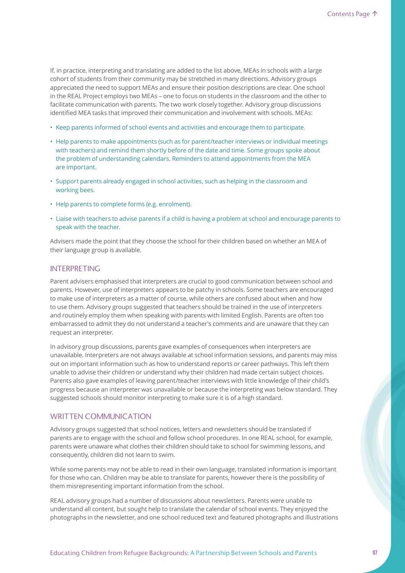If, in practice, interpreting and translating are added to the list above, MEAs in schools with a large cohort of students from their community may be stretched in many directions. Advisory groups appreciated the need to support MEAs and ensure their position descriptions are clear. One school in the REAL Project employs two MEAs – one to focus on students in the classroom and the other to facilitate communication with parents. The two work closely together. Advisory group discussions identified MEA tasks that improved their communication and involvement with schools. MEAs:

- Keep parents informed of school events and activities and encourage them to participate.
- Help parents to make appointments (such as for parent/teacher interviews or individual meetings with teachers) and remind them shortly before of the date and time. Some groups spoke about the problem of understanding calendars. Reminders to attend appointments from the MEA are important.
- Support parents already engaged in school activities, such as helping in the classroom and working bees.
- Help parents to complete forms (e.g. enrolment).
- Liaise with teachers to advise parents if a child is having a problem at school and encourage parents to speak with the teacher.

Advisers made the point that they choose the school for their children based on whether an MEA of their language group is available.

### INTERPRETING

Parent advisers emphasised that interpreters are crucial to good communication between school and parents. However, use of interpreters appears to be patchy in schools. Some teachers are encouraged to make use of interpreters as a matter of course, while others are confused about when and how to use them. Advisory groups suggested that teachers should be trained in the use of interpreters and routinely employ them when speaking with parents with limited English. Parents are often too embarrassed to admit they do not understand a teacher's comments and are unaware that they can request an interpreter.

In advisory group discussions, parents gave examples of consequences when interpreters are unavailable. Interpreters are not always available at school information sessions, and parents may miss out on important information such as how to understand reports or career pathways. This left them unable to advise their children or understand why their children had made certain subject choices. Parents also gave examples of leaving parent/teacher interviews with little knowledge of their child's progress because an interpreter was unavailable or because the interpreting was below standard. They suggested schools should monitor interpreting to make sure it is of a high standard.

### WRITTEN COMMUNICATION

Advisory groups suggested that school notices, letters and newsletters should be translated if parents are to engage with the school and follow school procedures. In one REAL school, for example, parents were unaware what clothes their children should take to school for swimming lessons, and consequently, children did not learn to swim.

While some parents may not be able to read in their own language, translated information is important for those who can. Children may be able to translate for parents, however there is the possibility of them misrepresenting important information from the school.

REAL advisory groups had a number of discussions about newsletters. Parents were unable to understand all content, but sought help to translate the calendar of school events. They enjoyed the photographs in the newsletter, and one school reduced text and featured photographs and illustrations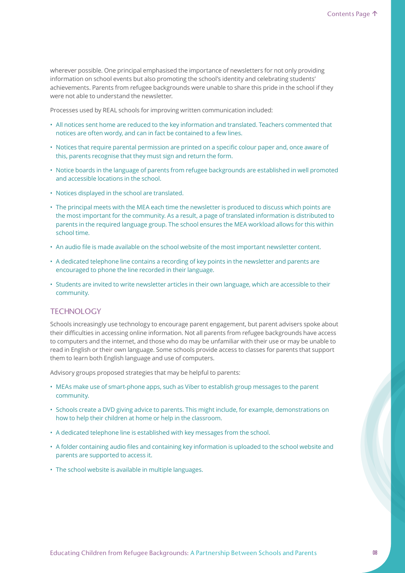wherever possible. One principal emphasised the importance of newsletters for not only providing information on school events but also promoting the school's identity and celebrating students' achievements. Parents from refugee backgrounds were unable to share this pride in the school if they were not able to understand the newsletter.

Processes used by REAL schools for improving written communication included:

- All notices sent home are reduced to the key information and translated. Teachers commented that notices are often wordy, and can in fact be contained to a few lines.
- Notices that require parental permission are printed on a specific colour paper and, once aware of this, parents recognise that they must sign and return the form.
- Notice boards in the language of parents from refugee backgrounds are established in well promoted and accessible locations in the school.
- Notices displayed in the school are translated.
- The principal meets with the MEA each time the newsletter is produced to discuss which points are the most important for the community. As a result, a page of translated information is distributed to parents in the required language group. The school ensures the MEA workload allows for this within school time.
- An audio file is made available on the school website of the most important newsletter content.
- A dedicated telephone line contains a recording of key points in the newsletter and parents are encouraged to phone the line recorded in their language.
- Students are invited to write newsletter articles in their own language, which are accessible to their community.

### **TECHNOLOGY**

Schools increasingly use technology to encourage parent engagement, but parent advisers spoke about their difficulties in accessing online information. Not all parents from refugee backgrounds have access to computers and the internet, and those who do may be unfamiliar with their use or may be unable to read in English or their own language. Some schools provide access to classes for parents that support them to learn both English language and use of computers.

Advisory groups proposed strategies that may be helpful to parents:

- MEAs make use of smart-phone apps, such as Viber to establish group messages to the parent community.
- Schools create a DVD giving advice to parents. This might include, for example, demonstrations on how to help their children at home or help in the classroom.
- A dedicated telephone line is established with key messages from the school.
- A folder containing audio files and containing key information is uploaded to the school website and parents are supported to access it.
- The school website is available in multiple languages.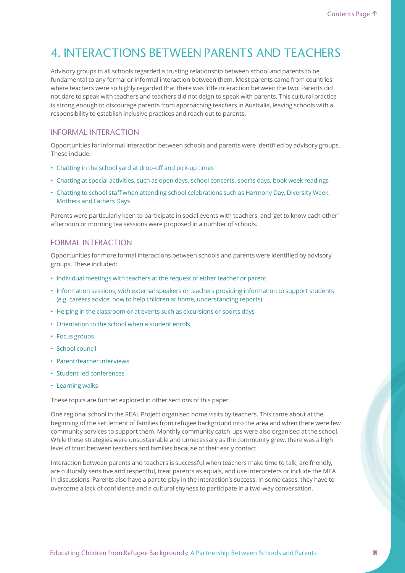# 4. INTERACTIONS BETWEEN PARENTS AND TEACHERS

Advisory groups in all schools regarded a trusting relationship between school and parents to be fundamental to any formal or informal interaction between them. Most parents came from countries where teachers were so highly regarded that there was little interaction between the two. Parents did not dare to speak with teachers and teachers did not deign to speak with parents. This cultural practice is strong enough to discourage parents from approaching teachers in Australia, leaving schools with a responsibility to establish inclusive practices and reach out to parents.

### INFORMAL INTERACTION

Opportunities for informal interaction between schools and parents were identified by advisory groups. These include:

- Chatting in the school yard at drop-off and pick-up times
- Chatting at special activities, such as open days, school concerts, sports days, book week readings
- Chatting to school staff when attending school celebrations such as Harmony Day, Diversity Week, Mothers and Fathers Days

Parents were particularly keen to participate in social events with teachers, and 'get to know each other' afternoon or morning tea sessions were proposed in a number of schools.

### FORMAL INTERACTION

Opportunities for more formal interactions between schools and parents were identified by advisory groups. These included:

- Individual meetings with teachers at the request of either teacher or parent
- Information sessions, with external speakers or teachers providing information to support students (e.g. careers advice, how to help children at home, understanding reports)
- Helping in the classroom or at events such as excursions or sports days
- Orientation to the school when a student enrols
- Focus groups
- School council
- Parent/teacher interviews
- Student-led conferences
- Learning walks

These topics are further explored in other sections of this paper.

One regional school in the REAL Project organised home visits by teachers. This came about at the beginning of the settlement of families from refugee background into the area and when there were few community services to support them. Monthly community catch-ups were also organised at the school. While these strategies were unsustainable and unnecessary as the community grew, there was a high level of trust between teachers and families because of their early contact.

Interaction between parents and teachers is successful when teachers make time to talk, are friendly, are culturally sensitive and respectful, treat parents as equals, and use interpreters or include the MEA in discussions. Parents also have a part to play in the interaction's success. In some cases, they have to overcome a lack of confidence and a cultural shyness to participate in a two-way conversation.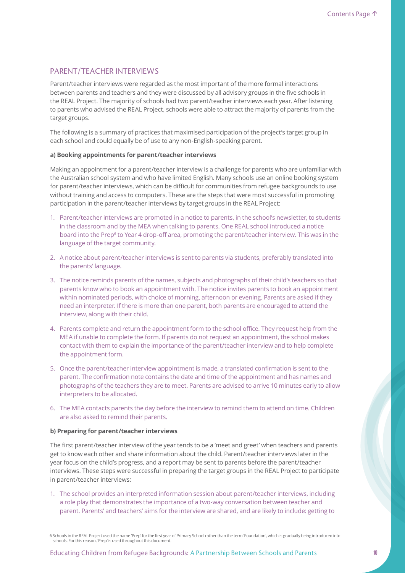## PARENT/TEACHER INTERVIEWS

Parent/teacher interviews were regarded as the most important of the more formal interactions between parents and teachers and they were discussed by all advisory groups in the five schools in the REAL Project. The majority of schools had two parent/teacher interviews each year. After listening to parents who advised the REAL Project, schools were able to attract the majority of parents from the target groups.

The following is a summary of practices that maximised participation of the project's target group in each school and could equally be of use to any non-English-speaking parent.

### **a) Booking appointments for parent/teacher interviews**

Making an appointment for a parent/teacher interview is a challenge for parents who are unfamiliar with the Australian school system and who have limited English. Many schools use an online booking system for parent/teacher interviews, which can be difficult for communities from refugee backgrounds to use without training and access to computers. These are the steps that were most successful in promoting participation in the parent/teacher interviews by target groups in the REAL Project:

- 1. Parent/teacher interviews are promoted in a notice to parents, in the school's newsletter, to students in the classroom and by the MEA when talking to parents. One REAL school introduced a notice board into the Prep<sup>6</sup> to Year 4 drop-off area, promoting the parent/teacher interview. This was in the language of the target community.
- 2. A notice about parent/teacher interviews is sent to parents via students, preferably translated into the parents' language.
- 3. The notice reminds parents of the names, subjects and photographs of their child's teachers so that parents know who to book an appointment with. The notice invites parents to book an appointment within nominated periods, with choice of morning, afternoon or evening. Parents are asked if they need an interpreter. If there is more than one parent, both parents are encouraged to attend the interview, along with their child.
- 4. Parents complete and return the appointment form to the school office. They request help from the MEA if unable to complete the form. If parents do not request an appointment, the school makes contact with them to explain the importance of the parent/teacher interview and to help complete the appointment form.
- 5. Once the parent/teacher interview appointment is made, a translated confirmation is sent to the parent. The confirmation note contains the date and time of the appointment and has names and photographs of the teachers they are to meet. Parents are advised to arrive 10 minutes early to allow interpreters to be allocated.
- 6. The MEA contacts parents the day before the interview to remind them to attend on time. Children are also asked to remind their parents.

#### **b) Preparing for parent/teacher interviews**

The first parent/teacher interview of the year tends to be a 'meet and greet' when teachers and parents get to know each other and share information about the child. Parent/teacher interviews later in the year focus on the child's progress, and a report may be sent to parents before the parent/teacher interviews. These steps were successful in preparing the target groups in the REAL Project to participate in parent/teacher interviews:

1. The school provides an interpreted information session about parent/teacher interviews, including a role play that demonstrates the importance of a two-way conversation between teacher and parent. Parents' and teachers' aims for the interview are shared, and are likely to include: getting to

6 Schools in the REAL Project used the name 'Prep' for the first year of Primary School rather than the term 'Foundation', which is gradually being introduced into schools. For this reason, 'Prep' is used throughout this document.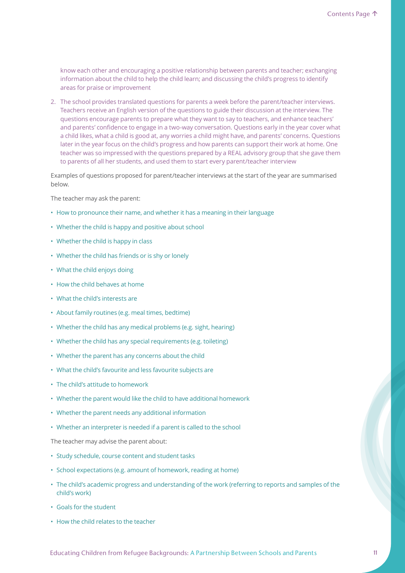know each other and encouraging a positive relationship between parents and teacher; exchanging information about the child to help the child learn; and discussing the child's progress to identify areas for praise or improvement

2. The school provides translated questions for parents a week before the parent/teacher interviews. Teachers receive an English version of the questions to guide their discussion at the interview. The questions encourage parents to prepare what they want to say to teachers, and enhance teachers' and parents' confidence to engage in a two-way conversation. Questions early in the year cover what a child likes, what a child is good at, any worries a child might have, and parents' concerns. Questions later in the year focus on the child's progress and how parents can support their work at home. One teacher was so impressed with the questions prepared by a REAL advisory group that she gave them to parents of all her students, and used them to start every parent/teacher interview

Examples of questions proposed for parent/teacher interviews at the start of the year are summarised below.

The teacher may ask the parent:

- How to pronounce their name, and whether it has a meaning in their language
- Whether the child is happy and positive about school
- Whether the child is happy in class
- Whether the child has friends or is shy or lonely
- What the child enjoys doing
- How the child behaves at home
- What the child's interests are
- About family routines (e.g. meal times, bedtime)
- Whether the child has any medical problems (e.g. sight, hearing)
- Whether the child has any special requirements (e.g. toileting)
- Whether the parent has any concerns about the child
- What the child's favourite and less favourite subjects are
- The child's attitude to homework
- Whether the parent would like the child to have additional homework
- Whether the parent needs any additional information
- Whether an interpreter is needed if a parent is called to the school

The teacher may advise the parent about:

- Study schedule, course content and student tasks
- School expectations (e.g. amount of homework, reading at home)
- The child's academic progress and understanding of the work (referring to reports and samples of the child's work)
- Goals for the student
- How the child relates to the teacher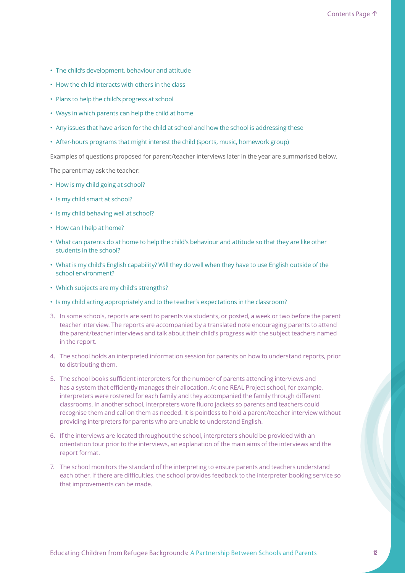- The child's development, behaviour and attitude
- How the child interacts with others in the class
- Plans to help the child's progress at school
- Ways in which parents can help the child at home
- Any issues that have arisen for the child at school and how the school is addressing these
- After-hours programs that might interest the child (sports, music, homework group)

Examples of questions proposed for parent/teacher interviews later in the year are summarised below.

The parent may ask the teacher:

- How is my child going at school?
- Is my child smart at school?
- Is my child behaving well at school?
- How can I help at home?
- What can parents do at home to help the child's behaviour and attitude so that they are like other students in the school?
- What is my child's English capability? Will they do well when they have to use English outside of the school environment?
- Which subjects are my child's strengths?
- Is my child acting appropriately and to the teacher's expectations in the classroom?
- 3. In some schools, reports are sent to parents via students, or posted, a week or two before the parent teacher interview. The reports are accompanied by a translated note encouraging parents to attend the parent/teacher interviews and talk about their child's progress with the subject teachers named in the report.
- 4. The school holds an interpreted information session for parents on how to understand reports, prior to distributing them.
- 5. The school books sufficient interpreters for the number of parents attending interviews and has a system that efficiently manages their allocation. At one REAL Project school, for example, interpreters were rostered for each family and they accompanied the family through different classrooms. In another school, interpreters wore fluoro jackets so parents and teachers could recognise them and call on them as needed. It is pointless to hold a parent/teacher interview without providing interpreters for parents who are unable to understand English.
- 6. If the interviews are located throughout the school, interpreters should be provided with an orientation tour prior to the interviews, an explanation of the main aims of the interviews and the report format.
- 7. The school monitors the standard of the interpreting to ensure parents and teachers understand each other. If there are difficulties, the school provides feedback to the interpreter booking service so that improvements can be made.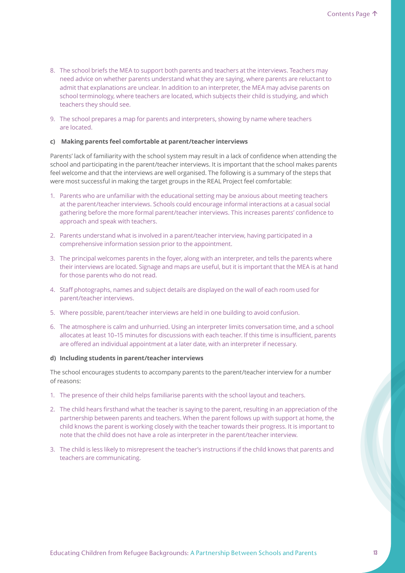- 8. The school briefs the MEA to support both parents and teachers at the interviews. Teachers may need advice on whether parents understand what they are saying, where parents are reluctant to admit that explanations are unclear. In addition to an interpreter, the MEA may advise parents on school terminology, where teachers are located, which subjects their child is studying, and which teachers they should see.
- 9. The school prepares a map for parents and interpreters, showing by name where teachers are located.

### **c) Making parents feel comfortable at parent/teacher interviews**

Parents' lack of familiarity with the school system may result in a lack of confidence when attending the school and participating in the parent/teacher interviews. It is important that the school makes parents feel welcome and that the interviews are well organised. The following is a summary of the steps that were most successful in making the target groups in the REAL Project feel comfortable:

- 1. Parents who are unfamiliar with the educational setting may be anxious about meeting teachers at the parent/teacher interviews. Schools could encourage informal interactions at a casual social gathering before the more formal parent/teacher interviews. This increases parents' confidence to approach and speak with teachers.
- 2. Parents understand what is involved in a parent/teacher interview, having participated in a comprehensive information session prior to the appointment.
- 3. The principal welcomes parents in the foyer, along with an interpreter, and tells the parents where their interviews are located. Signage and maps are useful, but it is important that the MEA is at hand for those parents who do not read.
- 4. Staff photographs, names and subject details are displayed on the wall of each room used for parent/teacher interviews.
- 5. Where possible, parent/teacher interviews are held in one building to avoid confusion.
- 6. The atmosphere is calm and unhurried. Using an interpreter limits conversation time, and a school allocates at least 10–15 minutes for discussions with each teacher. If this time is insufficient, parents are offered an individual appointment at a later date, with an interpreter if necessary.

### **d) Including students in parent/teacher interviews**

The school encourages students to accompany parents to the parent/teacher interview for a number of reasons:

- 1. The presence of their child helps familiarise parents with the school layout and teachers.
- 2. The child hears firsthand what the teacher is saying to the parent, resulting in an appreciation of the partnership between parents and teachers. When the parent follows up with support at home, the child knows the parent is working closely with the teacher towards their progress. It is important to note that the child does not have a role as interpreter in the parent/teacher interview.
- 3. The child is less likely to misrepresent the teacher's instructions if the child knows that parents and teachers are communicating.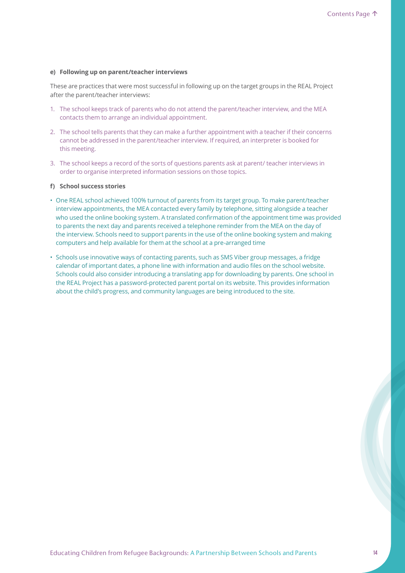#### **e) Following up on parent/teacher interviews**

These are practices that were most successful in following up on the target groups in the REAL Project after the parent/teacher interviews:

- 1. The school keeps track of parents who do not attend the parent/teacher interview, and the MEA contacts them to arrange an individual appointment.
- 2. The school tells parents that they can make a further appointment with a teacher if their concerns cannot be addressed in the parent/teacher interview. If required, an interpreter is booked for this meeting.
- 3. The school keeps a record of the sorts of questions parents ask at parent/ teacher interviews in order to organise interpreted information sessions on those topics.

### **f) School success stories**

- One REAL school achieved 100% turnout of parents from its target group. To make parent/teacher interview appointments, the MEA contacted every family by telephone, sitting alongside a teacher who used the online booking system. A translated confirmation of the appointment time was provided to parents the next day and parents received a telephone reminder from the MEA on the day of the interview. Schools need to support parents in the use of the online booking system and making computers and help available for them at the school at a pre-arranged time
- Schools use innovative ways of contacting parents, such as SMS Viber group messages, a fridge calendar of important dates, a phone line with information and audio files on the school website. Schools could also consider introducing a translating app for downloading by parents. One school in the REAL Project has a password-protected parent portal on its website. This provides information about the child's progress, and community languages are being introduced to the site.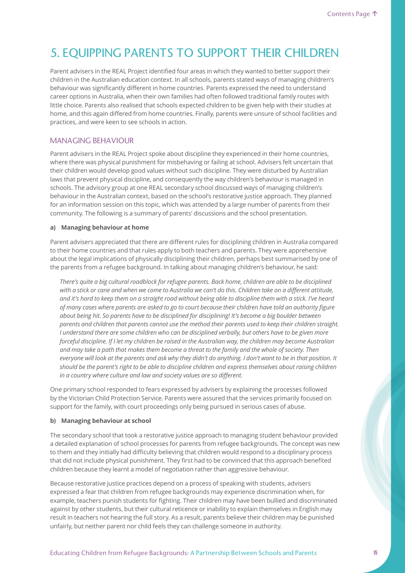# 5. EQUIPPING PARENTS TO SUPPORT THEIR CHILDREN

Parent advisers in the REAL Project identified four areas in which they wanted to better support their children in the Australian education context. In all schools, parents stated ways of managing children's behaviour was significantly different in home countries. Parents expressed the need to understand career options in Australia, when their own families had often followed traditional family routes with little choice. Parents also realised that schools expected children to be given help with their studies at home, and this again differed from home countries. Finally, parents were unsure of school facilities and practices, and were keen to see schools in action.

## MANAGING BEHAVIOUR

Parent advisers in the REAL Project spoke about discipline they experienced in their home countries, where there was physical punishment for misbehaving or failing at school. Advisers felt uncertain that their children would develop good values without such discipline. They were disturbed by Australian laws that prevent physical discipline, and consequently the way children's behaviour is managed in schools. The advisory group at one REAL secondary school discussed ways of managing children's behaviour in the Australian context, based on the school's restorative justice approach. They planned for an information session on this topic, which was attended by a large number of parents from their community. The following is a summary of parents' discussions and the school presentation.

### **a) Managing behaviour at home**

Parent advisers appreciated that there are different rules for disciplining children in Australia compared to their home countries and that rules apply to both teachers and parents. They were apprehensive about the legal implications of physically disciplining their children, perhaps best summarised by one of the parents from a refugee background. In talking about managing children's behaviour, he said:

*There's quite a big cultural roadblock for refugee parents. Back home, children are able to be disciplined with a stick or cane and when we come to Australia we can't do this. Children take on a different attitude, and it's hard to keep them on a straight road without being able to discipline them with a stick. I've heard of many cases where parents are asked to go to court because their children have told an authority figure about being hit. So parents have to be disciplined for disciplining! It's become a big boulder between parents and children that parents cannot use the method their parents used to keep their children straight. I understand there are some children who can be disciplined verbally, but others have to be given more forceful discipline. If I let my children be raised in the Australian way, the children may become Australian and may take a path that makes them become a threat to the family and the whole of society. Then everyone will look at the parents and ask why they didn't do anything. I don't want to be in that position. It should be the parent's right to be able to discipline children and express themselves about raising children in a country where culture and law and society values are so different.* 

One primary school responded to fears expressed by advisers by explaining the processes followed by the Victorian Child Protection Service. Parents were assured that the services primarily focused on support for the family, with court proceedings only being pursued in serious cases of abuse.

### **b) Managing behaviour at school**

The secondary school that took a restorative justice approach to managing student behaviour provided a detailed explanation of school processes for parents from refugee backgrounds. The concept was new to them and they initially had difficulty believing that children would respond to a disciplinary process that did not include physical punishment. They first had to be convinced that this approach benefited children because they learnt a model of negotiation rather than aggressive behaviour.

Because restorative justice practices depend on a process of speaking with students, advisers expressed a fear that children from refugee backgrounds may experience discrimination when, for example, teachers punish students for fighting. Their children may have been bullied and discriminated against by other students, but their cultural reticence or inability to explain themselves in English may result in teachers not hearing the full story. As a result, parents believe their children may be punished unfairly, but neither parent nor child feels they can challenge someone in authority.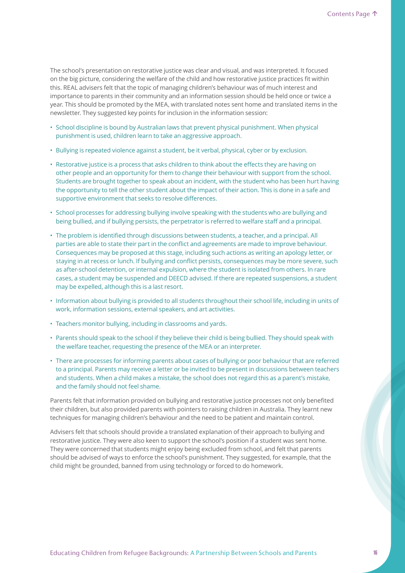The school's presentation on restorative justice was clear and visual, and was interpreted. It focused on the big picture, considering the welfare of the child and how restorative justice practices fit within this. REAL advisers felt that the topic of managing children's behaviour was of much interest and importance to parents in their community and an information session should be held once or twice a year. This should be promoted by the MEA, with translated notes sent home and translated items in the newsletter. They suggested key points for inclusion in the information session:

- School discipline is bound by Australian laws that prevent physical punishment. When physical punishment is used, children learn to take an aggressive approach.
- Bullying is repeated violence against a student, be it verbal, physical, cyber or by exclusion.
- Restorative justice is a process that asks children to think about the effects they are having on other people and an opportunity for them to change their behaviour with support from the school. Students are brought together to speak about an incident, with the student who has been hurt having the opportunity to tell the other student about the impact of their action. This is done in a safe and supportive environment that seeks to resolve differences.
- School processes for addressing bullying involve speaking with the students who are bullying and being bullied, and if bullying persists, the perpetrator is referred to welfare staff and a principal.
- The problem is identified through discussions between students, a teacher, and a principal. All parties are able to state their part in the conflict and agreements are made to improve behaviour. Consequences may be proposed at this stage, including such actions as writing an apology letter, or staying in at recess or lunch. If bullying and conflict persists, consequences may be more severe, such as after-school detention, or internal expulsion, where the student is isolated from others. In rare cases, a student may be suspended and DEECD advised. If there are repeated suspensions, a student may be expelled, although this is a last resort.
- Information about bullying is provided to all students throughout their school life, including in units of work, information sessions, external speakers, and art activities.
- Teachers monitor bullying, including in classrooms and yards.
- Parents should speak to the school if they believe their child is being bullied. They should speak with the welfare teacher, requesting the presence of the MEA or an interpreter.
- There are processes for informing parents about cases of bullying or poor behaviour that are referred to a principal. Parents may receive a letter or be invited to be present in discussions between teachers and students. When a child makes a mistake, the school does not regard this as a parent's mistake, and the family should not feel shame.

Parents felt that information provided on bullying and restorative justice processes not only benefited their children, but also provided parents with pointers to raising children in Australia. They learnt new techniques for managing children's behaviour and the need to be patient and maintain control.

Advisers felt that schools should provide a translated explanation of their approach to bullying and restorative justice. They were also keen to support the school's position if a student was sent home. They were concerned that students might enjoy being excluded from school, and felt that parents should be advised of ways to enforce the school's punishment. They suggested, for example, that the child might be grounded, banned from using technology or forced to do homework.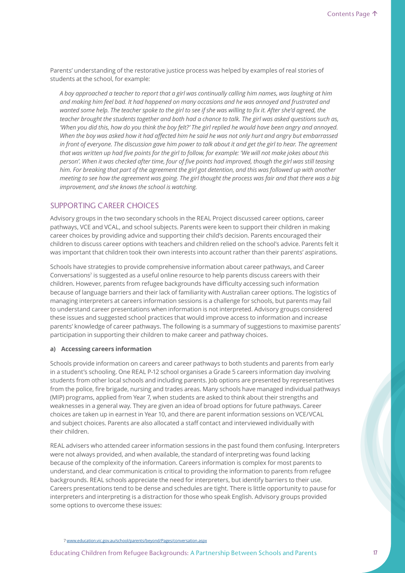Parents' understanding of the restorative justice process was helped by examples of real stories of students at the school, for example:

*A boy approached a teacher to report that a girl was continually calling him names, was laughing at him and making him feel bad. It had happened on many occasions and he was annoyed and frustrated and wanted some help. The teacher spoke to the girl to see if she was willing to fix it. After she'd agreed, the teacher brought the students together and both had a chance to talk. The girl was asked questions such as, 'When you did this, how do you think the boy felt?' The girl replied he would have been angry and annoyed. When the boy was asked how it had affected him he said he was not only hurt and angry but embarrassed in front of everyone. The discussion gave him power to talk about it and get the girl to hear. The agreement that was written up had five points for the girl to follow, for example: 'We will not make jokes about this person'. When it was checked after time, four of five points had improved, though the girl was still teasing him. For breaking that part of the agreement the girl got detention, and this was followed up with another meeting to see how the agreement was going. The girl thought the process was fair and that there was a big improvement, and she knows the school is watching.*

# SUPPORTING CAREER CHOICES

Advisory groups in the two secondary schools in the REAL Project discussed career options, career pathways, VCE and VCAL, and school subjects. Parents were keen to support their children in making career choices by providing advice and supporting their child's decision. Parents encouraged their children to discuss career options with teachers and children relied on the school's advice. Parents felt it was important that children took their own interests into account rather than their parents' aspirations.

Schools have strategies to provide comprehensive information about career pathways, and Career Conversations<sup>7</sup> is suggested as a useful online resource to help parents discuss careers with their children. However, parents from refugee backgrounds have difficulty accessing such information because of language barriers and their lack of familiarity with Australian career options. The logistics of managing interpreters at careers information sessions is a challenge for schools, but parents may fail to understand career presentations when information is not interpreted. Advisory groups considered these issues and suggested school practices that would improve access to information and increase parents' knowledge of career pathways. The following is a summary of suggestions to maximise parents' participation in supporting their children to make career and pathway choices.

#### **a) Accessing careers information**

Schools provide information on careers and career pathways to both students and parents from early in a student's schooling. One REAL P-12 school organises a Grade 5 careers information day involving students from other local schools and including parents. Job options are presented by representatives from the police, fire brigade, nursing and trades areas. Many schools have managed individual pathways (MIP) programs, applied from Year 7, when students are asked to think about their strengths and weaknesses in a general way. They are given an idea of broad options for future pathways. Career choices are taken up in earnest in Year 10, and there are parent information sessions on VCE/VCAL and subject choices. Parents are also allocated a staff contact and interviewed individually with their children.

REAL advisers who attended career information sessions in the past found them confusing. Interpreters were not always provided, and when available, the standard of interpreting was found lacking because of the complexity of the information. Careers information is complex for most parents to understand, and clear communication is critical to providing the information to parents from refugee backgrounds. REAL schools appreciate the need for interpreters, but identify barriers to their use. Careers presentations tend to be dense and schedules are tight. There is little opportunity to pause for interpreters and interpreting is a distraction for those who speak English. Advisory groups provided some options to overcome these issues:

7 www.education.vic.gov.au/school/parents/beyond/Pages/conversation.aspx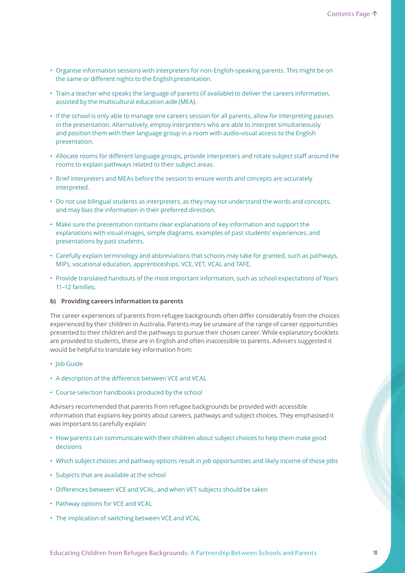- Organise information sessions with interpreters for non-English-speaking parents. This might be on the same or different nights to the English presentation.
- Train a teacher who speaks the language of parents (if available) to deliver the careers information, assisted by the multicultural education aide (MEA).
- If the school is only able to manage one careers session for all parents, allow for interpreting pauses in the presentation. Alternatively, employ interpreters who are able to interpret simultaneously and position them with their language group in a room with audio-visual access to the English presentation.
- Allocate rooms for different language groups, provide interpreters and rotate subject staff around the rooms to explain pathways related to their subject areas.
- Brief interpreters and MEAs before the session to ensure words and concepts are accurately interpreted.
- Do not use bilingual students as interpreters, as they may not understand the words and concepts, and may bias the information in their preferred direction.
- Make sure the presentation contains clear explanations of key information and support the explanations with visual images, simple diagrams, examples of past students' experiences, and presentations by past students.
- Carefully explain terminology and abbreviations that schools may take for granted, such as pathways, MIPs, vocational education, apprenticeships, VCE, VET, VCAL and TAFE.
- Provide translated handouts of the most important information, such as school expectations of Years 11–12 families.
- **b) Providing careers information to parents**

The career experiences of parents from refugee backgrounds often differ considerably from the choices experienced by their children in Australia. Parents may be unaware of the range of career opportunities presented to their children and the pathways to pursue their chosen career. While explanatory booklets are provided to students, these are in English and often inaccessible to parents. Advisers suggested it would be helpful to translate key information from:

- Job Guide
- A description of the difference between VCE and VCAL
- Course selection handbooks produced by the school

Advisers recommended that parents from refugee backgrounds be provided with accessible information that explains key points about careers, pathways and subject choices. They emphasised it was important to carefully explain:

- How parents can communicate with their children about subject choices to help them make good decisions
- Which subject choices and pathway options result in job opportunities and likely income of those jobs
- Subjects that are available at the school
- Differences between VCE and VCAL, and when VET subjects should be taken
- Pathway options for VCE and VCAL
- The implication of switching between VCE and VCAL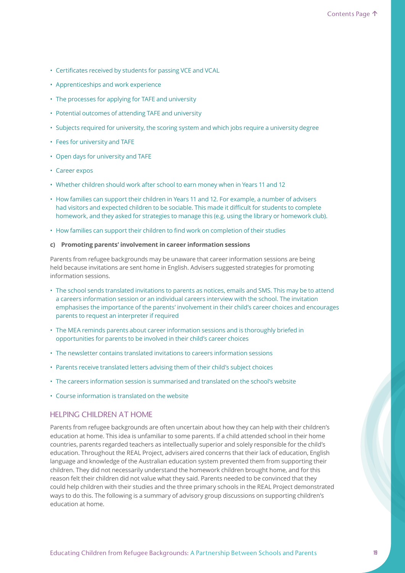- Certificates received by students for passing VCE and VCAL
- Apprenticeships and work experience
- The processes for applying for TAFE and university
- Potential outcomes of attending TAFE and university
- Subjects required for university, the scoring system and which jobs require a university degree
- Fees for university and TAFE
- Open days for university and TAFE
- Career expos
- Whether children should work after school to earn money when in Years 11 and 12
- How families can support their children in Years 11 and 12. For example, a number of advisers had visitors and expected children to be sociable. This made it difficult for students to complete homework, and they asked for strategies to manage this (e.g. using the library or homework club).
- How families can support their children to find work on completion of their studies

### **c) Promoting parents' involvement in career information sessions**

Parents from refugee backgrounds may be unaware that career information sessions are being held because invitations are sent home in English. Advisers suggested strategies for promoting information sessions.

- The school sends translated invitations to parents as notices, emails and SMS. This may be to attend a careers information session or an individual careers interview with the school. The invitation emphasises the importance of the parents' involvement in their child's career choices and encourages parents to request an interpreter if required
- The MEA reminds parents about career information sessions and is thoroughly briefed in opportunities for parents to be involved in their child's career choices
- The newsletter contains translated invitations to careers information sessions
- Parents receive translated letters advising them of their child's subject choices
- The careers information session is summarised and translated on the school's website
- Course information is translated on the website

### HELPING CHILDREN AT HOME

Parents from refugee backgrounds are often uncertain about how they can help with their children's education at home. This idea is unfamiliar to some parents. If a child attended school in their home countries, parents regarded teachers as intellectually superior and solely responsible for the child's education. Throughout the REAL Project, advisers aired concerns that their lack of education, English language and knowledge of the Australian education system prevented them from supporting their children. They did not necessarily understand the homework children brought home, and for this reason felt their children did not value what they said. Parents needed to be convinced that they could help children with their studies and the three primary schools in the REAL Project demonstrated ways to do this. The following is a summary of advisory group discussions on supporting children's education at home.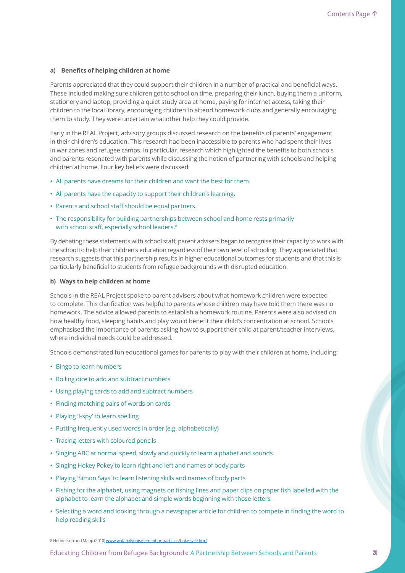### a) Benefits of helping children at home

Parents appreciated that they could support their children in a number of practical and beneficial ways. These included making sure children got to school on time, preparing their lunch, buying them a uniform, stationery and laptop, providing a quiet study area at home, paying for internet access, taking their children to the local library, encouraging children to attend homework clubs and generally encouraging them to study. They were uncertain what other help they could provide.

Early in the REAL Project, advisory groups discussed research on the benefits of parents' engagement in their children's education. This research had been inaccessible to parents who had spent their lives in war zones and refugee camps. In particular, research which highlighted the benefits to both schools and parents resonated with parents while discussing the notion of partnering with schools and helping children at home. Four key beliefs were discussed:

- All parents have dreams for their children and want the best for them.
- All parents have the capacity to support their children's learning.
- Parents and school staff should be equal partners.
- The responsibility for building partnerships between school and home rests primarily with school staff, especially school leaders.<sup>8</sup>

By debating these statements with school staff, parent advisers began to recognise their capacity to work with the school to help their children's education regardless of their own level of schooling. They appreciated that research suggests that this partnership results in higher educational outcomes for students and that this is particularly beneficial to students from refugee backgrounds with disrupted education.

### **b) Ways to help children at home**

Schools in the REAL Project spoke to parent advisers about what homework children were expected to complete. This clarification was helpful to parents whose children may have told them there was no homework. The advice allowed parents to establish a homework routine. Parents were also advised on how healthy food, sleeping habits and play would benefit their child's concentration at school. Schools emphasised the importance of parents asking how to support their child at parent/teacher interviews, where individual needs could be addressed.

Schools demonstrated fun educational games for parents to play with their children at home, including:

- Bingo to learn numbers
- Rolling dice to add and subtract numbers
- Using playing cards to add and subtract numbers
- Finding matching pairs of words on cards
- Playing 'I-spy' to learn spelling
- Putting frequently used words in order (e.g. alphabetically)
- Tracing letters with coloured pencils
- Singing ABC at normal speed, slowly and quickly to learn alphabet and sounds
- Singing Hokey Pokey to learn right and left and names of body parts
- Playing 'Simon Says' to learn listening skills and names of body parts
- Fishing for the alphabet, using magnets on fishing lines and paper clips on paper fish labelled with the alphabet to learn the alphabet and simple words beginning with those letters
- Selecting a word and looking through a newspaper article for children to compete in finding the word to help reading skills

8 Henderson and Mapp (2010) www.wafamilyengagement.org/articles/bake-sale.html

Educating Children from Refugee Backgrounds: A Partnership Between Schools and Parents **20**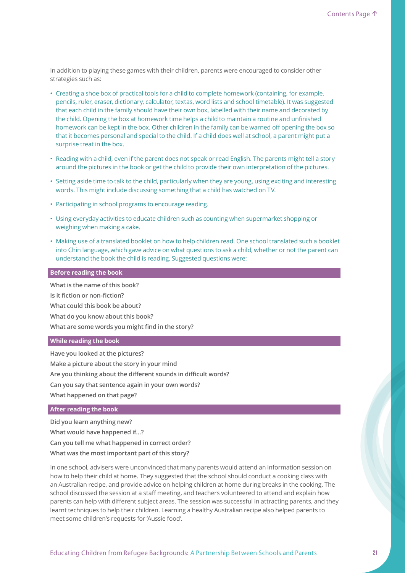In addition to playing these games with their children, parents were encouraged to consider other strategies such as:

- Creating a shoe box of practical tools for a child to complete homework (containing, for example, pencils, ruler, eraser, dictionary, calculator, textas, word lists and school timetable). It was suggested that each child in the family should have their own box, labelled with their name and decorated by the child. Opening the box at homework time helps a child to maintain a routine and unfinished homework can be kept in the box. Other children in the family can be warned off opening the box so that it becomes personal and special to the child. If a child does well at school, a parent might put a surprise treat in the box.
- Reading with a child, even if the parent does not speak or read English. The parents might tell a story around the pictures in the book or get the child to provide their own interpretation of the pictures.
- Setting aside time to talk to the child, particularly when they are young, using exciting and interesting words. This might include discussing something that a child has watched on TV.
- Participating in school programs to encourage reading.
- Using everyday activities to educate children such as counting when supermarket shopping or weighing when making a cake.
- Making use of a translated booklet on how to help children read. One school translated such a booklet into Chin language, which gave advice on what questions to ask a child, whether or not the parent can understand the book the child is reading. Suggested questions were:

### **Before reading the book**

**What is the name of this book? Is it fiction or non-fiction? What could this book be about? What do you know about this book? What are some words you might find in the story?**

### **While reading the book**

**Have you looked at the pictures? Make a picture about the story in your mind Are you thinking about the different sounds in difficult words? Can you say that sentence again in your own words? What happened on that page?**

### **After reading the book**

**Did you learn anything new?**

**What would have happened if...?**

**Can you tell me what happened in correct order?**

**What was the most important part of this story?**

In one school, advisers were unconvinced that many parents would attend an information session on how to help their child at home. They suggested that the school should conduct a cooking class with an Australian recipe, and provide advice on helping children at home during breaks in the cooking. The school discussed the session at a staff meeting, and teachers volunteered to attend and explain how parents can help with different subject areas. The session was successful in attracting parents, and they learnt techniques to help their children. Learning a healthy Australian recipe also helped parents to meet some children's requests for 'Aussie food'.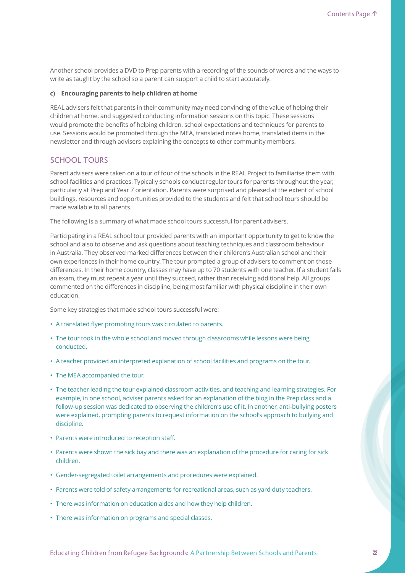Another school provides a DVD to Prep parents with a recording of the sounds of words and the ways to write as taught by the school so a parent can support a child to start accurately.

### **c) Encouraging parents to help children at home**

REAL advisers felt that parents in their community may need convincing of the value of helping their children at home, and suggested conducting information sessions on this topic. These sessions would promote the benefits of helping children, school expectations and techniques for parents to use. Sessions would be promoted through the MEA, translated notes home, translated items in the newsletter and through advisers explaining the concepts to other community members.

# SCHOOL TOURS

Parent advisers were taken on a tour of four of the schools in the REAL Project to familiarise them with school facilities and practices. Typically schools conduct regular tours for parents throughout the year, particularly at Prep and Year 7 orientation. Parents were surprised and pleased at the extent of school buildings, resources and opportunities provided to the students and felt that school tours should be made available to all parents.

The following is a summary of what made school tours successful for parent advisers.

Participating in a REAL school tour provided parents with an important opportunity to get to know the school and also to observe and ask questions about teaching techniques and classroom behaviour in Australia. They observed marked differences between their children's Australian school and their own experiences in their home country. The tour prompted a group of advisers to comment on those differences. In their home country, classes may have up to 70 students with one teacher. If a student fails an exam, they must repeat a year until they succeed, rather than receiving additional help. All groups commented on the differences in discipline, being most familiar with physical discipline in their own education.

Some key strategies that made school tours successful were:

- A translated flyer promoting tours was circulated to parents.
- The tour took in the whole school and moved through classrooms while lessons were being conducted.
- A teacher provided an interpreted explanation of school facilities and programs on the tour.
- The MEA accompanied the tour.
- The teacher leading the tour explained classroom activities, and teaching and learning strategies. For example, in one school, adviser parents asked for an explanation of the blog in the Prep class and a follow-up session was dedicated to observing the children's use of it. In another, anti-bullying posters were explained, prompting parents to request information on the school's approach to bullying and discipline.
- Parents were introduced to reception staff.
- Parents were shown the sick bay and there was an explanation of the procedure for caring for sick children.
- Gender-segregated toilet arrangements and procedures were explained.
- Parents were told of safety arrangements for recreational areas, such as yard duty teachers.
- There was information on education aides and how they help children.
- There was information on programs and special classes.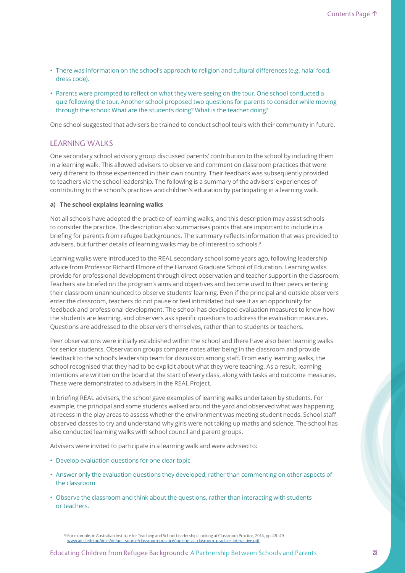- There was information on the school's approach to religion and cultural differences (e.g. halal food, dress code).
- Parents were prompted to reflect on what they were seeing on the tour. One school conducted a quiz following the tour. Another school proposed two questions for parents to consider while moving through the school: What are the students doing? What is the teacher doing?

One school suggested that advisers be trained to conduct school tours with their community in future.

# LEARNING WALKS

One secondary school advisory group discussed parents' contribution to the school by including them in a learning walk. This allowed advisers to observe and comment on classroom practices that were very different to those experienced in their own country. Their feedback was subsequently provided to teachers via the school leadership. The following is a summary of the advisers' experiences of contributing to the school's practices and children's education by participating in a learning walk.

### **a) The school explains learning walks**

Not all schools have adopted the practice of learning walks, and this description may assist schools to consider the practice. The description also summarises points that are important to include in a briefing for parents from refugee backgrounds. The summary reflects information that was provided to advisers, but further details of learning walks may be of interest to schools.<sup>9</sup>

Learning walks were introduced to the REAL secondary school some years ago, following leadership advice from Professor Richard Elmore of the Harvard Graduate School of Education. Learning walks provide for professional development through direct observation and teacher support in the classroom. Teachers are briefed on the program's aims and objectives and become used to their peers entering their classroom unannounced to observe students' learning. Even if the principal and outside observers enter the classroom, teachers do not pause or feel intimidated but see it as an opportunity for feedback and professional development. The school has developed evaluation measures to know how the students are learning, and observers ask specific questions to address the evaluation measures. Questions are addressed to the observers themselves, rather than to students or teachers.

Peer observations were initially established within the school and there have also been learning walks for senior students. Observation groups compare notes after being in the classroom and provide feedback to the school's leadership team for discussion among staff. From early learning walks, the school recognised that they had to be explicit about what they were teaching. As a result, learning intentions are written on the board at the start of every class, along with tasks and outcome measures. These were demonstrated to advisers in the REAL Project.

In briefing REAL advisers, the school gave examples of learning walks undertaken by students. For example, the principal and some students walked around the yard and observed what was happening at recess in the play areas to assess whether the environment was meeting student needs. School staff observed classes to try and understand why girls were not taking up maths and science. The school has also conducted learning walks with school council and parent groups.

Advisers were invited to participate in a learning walk and were advised to:

- Develop evaluation questions for one clear topic
- Answer only the evaluation questions they developed, rather than commenting on other aspects of the classroom
- Observe the classroom and think about the questions, rather than interacting with students or teachers.

9 For example, in Australian Institute for Teaching and School Leadership, Looking at Classroom Practice, 2014, pp. 48–49 www.aitsl.edu.au/docs/default-source/classroom-practice/looking\_at\_clasroom\_practice\_interactive.pdf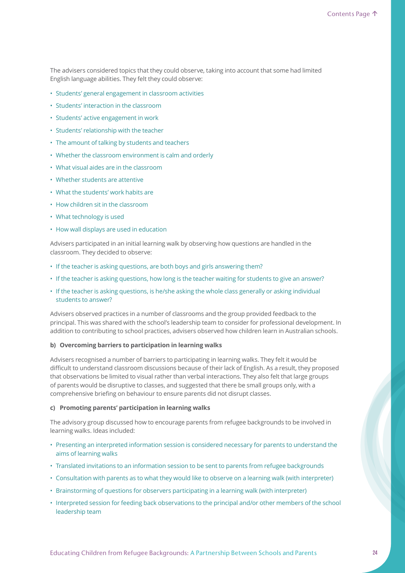The advisers considered topics that they could observe, taking into account that some had limited English language abilities. They felt they could observe:

- Students' general engagement in classroom activities
- Students' interaction in the classroom
- Students' active engagement in work
- Students' relationship with the teacher
- The amount of talking by students and teachers
- Whether the classroom environment is calm and orderly
- What visual aides are in the classroom
- Whether students are attentive
- What the students' work habits are
- How children sit in the classroom
- What technology is used
- How wall displays are used in education

Advisers participated in an initial learning walk by observing how questions are handled in the classroom. They decided to observe:

- If the teacher is asking questions, are both boys and girls answering them?
- If the teacher is asking questions, how long is the teacher waiting for students to give an answer?
- If the teacher is asking questions, is he/she asking the whole class generally or asking individual students to answer?

Advisers observed practices in a number of classrooms and the group provided feedback to the principal. This was shared with the school's leadership team to consider for professional development. In addition to contributing to school practices, advisers observed how children learn in Australian schools.

### **b) Overcoming barriers to participation in learning walks**

Advisers recognised a number of barriers to participating in learning walks. They felt it would be difficult to understand classroom discussions because of their lack of English. As a result, they proposed that observations be limited to visual rather than verbal interactions. They also felt that large groups of parents would be disruptive to classes, and suggested that there be small groups only, with a comprehensive briefing on behaviour to ensure parents did not disrupt classes.

### **c) Promoting parents' participation in learning walks**

The advisory group discussed how to encourage parents from refugee backgrounds to be involved in learning walks. Ideas included:

- Presenting an interpreted information session is considered necessary for parents to understand the aims of learning walks
- Translated invitations to an information session to be sent to parents from refugee backgrounds
- Consultation with parents as to what they would like to observe on a learning walk (with interpreter)
- Brainstorming of questions for observers participating in a learning walk (with interpreter)
- Interpreted session for feeding back observations to the principal and/or other members of the school leadership team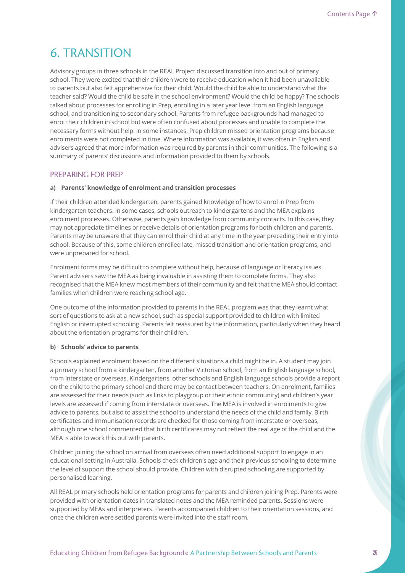# 6. TRANSITION

Advisory groups in three schools in the REAL Project discussed transition into and out of primary school. They were excited that their children were to receive education when it had been unavailable to parents but also felt apprehensive for their child: Would the child be able to understand what the teacher said? Would the child be safe in the school environment? Would the child be happy? The schools talked about processes for enrolling in Prep, enrolling in a later year level from an English language school, and transitioning to secondary school. Parents from refugee backgrounds had managed to enrol their children in school but were often confused about processes and unable to complete the necessary forms without help. In some instances, Prep children missed orientation programs because enrolments were not completed in time. Where information was available, it was often in English and advisers agreed that more information was required by parents in their communities. The following is a summary of parents' discussions and information provided to them by schools.

### PREPARING FOR PREP

### **a) Parents' knowledge of enrolment and transition processes**

If their children attended kindergarten, parents gained knowledge of how to enrol in Prep from kindergarten teachers. In some cases, schools outreach to kindergartens and the MEA explains enrolment processes. Otherwise, parents gain knowledge from community contacts. In this case, they may not appreciate timelines or receive details of orientation programs for both children and parents. Parents may be unaware that they can enrol their child at any time in the year preceding their entry into school. Because of this, some children enrolled late, missed transition and orientation programs, and were unprepared for school.

Enrolment forms may be difficult to complete without help, because of language or literacy issues. Parent advisers saw the MEA as being invaluable in assisting them to complete forms. They also recognised that the MEA knew most members of their community and felt that the MEA should contact families when children were reaching school age.

One outcome of the information provided to parents in the REAL program was that they learnt what sort of questions to ask at a new school, such as special support provided to children with limited English or interrupted schooling. Parents felt reassured by the information, particularly when they heard about the orientation programs for their children.

### **b) Schools' advice to parents**

Schools explained enrolment based on the different situations a child might be in. A student may join a primary school from a kindergarten, from another Victorian school, from an English language school, from interstate or overseas. Kindergartens, other schools and English language schools provide a report on the child to the primary school and there may be contact between teachers. On enrolment, families are assessed for their needs (such as links to playgroup or their ethnic community) and children's year levels are assessed if coming from interstate or overseas. The MEA is involved in enrolments to give advice to parents, but also to assist the school to understand the needs of the child and family. Birth certificates and immunisation records are checked for those coming from interstate or overseas, although one school commented that birth certificates may not reflect the real age of the child and the MEA is able to work this out with parents.

Children joining the school on arrival from overseas often need additional support to engage in an educational setting in Australia. Schools check children's age and their previous schooling to determine the level of support the school should provide. Children with disrupted schooling are supported by personalised learning.

All REAL primary schools held orientation programs for parents and children joining Prep. Parents were provided with orientation dates in translated notes and the MEA reminded parents. Sessions were supported by MEAs and interpreters. Parents accompanied children to their orientation sessions, and once the children were settled parents were invited into the staff room.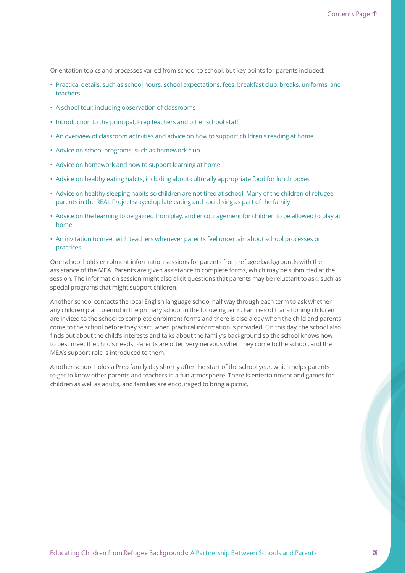Orientation topics and processes varied from school to school, but key points for parents included:

- Practical details, such as school hours, school expectations, fees, breakfast club, breaks, uniforms, and teachers
- A school tour, including observation of classrooms
- Introduction to the principal, Prep teachers and other school staff
- An overview of classroom activities and advice on how to support children's reading at home
- Advice on school programs, such as homework club
- Advice on homework and how to support learning at home
- Advice on healthy eating habits, including about culturally appropriate food for lunch boxes
- Advice on healthy sleeping habits so children are not tired at school. Many of the children of refugee parents in the REAL Project stayed up late eating and socialising as part of the family
- Advice on the learning to be gained from play, and encouragement for children to be allowed to play at home
- An invitation to meet with teachers whenever parents feel uncertain about school processes or practices

One school holds enrolment information sessions for parents from refugee backgrounds with the assistance of the MEA. Parents are given assistance to complete forms, which may be submitted at the session. The information session might also elicit questions that parents may be reluctant to ask, such as special programs that might support children.

Another school contacts the local English language school half way through each term to ask whether any children plan to enrol in the primary school in the following term. Families of transitioning children are invited to the school to complete enrolment forms and there is also a day when the child and parents come to the school before they start, when practical information is provided. On this day, the school also finds out about the child's interests and talks about the family's background so the school knows how to best meet the child's needs. Parents are often very nervous when they come to the school, and the MEA's support role is introduced to them.

Another school holds a Prep family day shortly after the start of the school year, which helps parents to get to know other parents and teachers in a fun atmosphere. There is entertainment and games for children as well as adults, and families are encouraged to bring a picnic.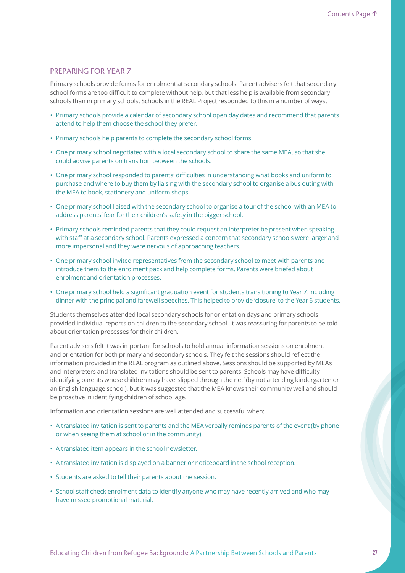### PREPARING FOR YEAR 7

Primary schools provide forms for enrolment at secondary schools. Parent advisers felt that secondary school forms are too difficult to complete without help, but that less help is available from secondary schools than in primary schools. Schools in the REAL Project responded to this in a number of ways.

- Primary schools provide a calendar of secondary school open day dates and recommend that parents attend to help them choose the school they prefer.
- Primary schools help parents to complete the secondary school forms.
- One primary school negotiated with a local secondary school to share the same MEA, so that she could advise parents on transition between the schools.
- One primary school responded to parents' difficulties in understanding what books and uniform to purchase and where to buy them by liaising with the secondary school to organise a bus outing with the MEA to book, stationery and uniform shops.
- One primary school liaised with the secondary school to organise a tour of the school with an MEA to address parents' fear for their children's safety in the bigger school.
- Primary schools reminded parents that they could request an interpreter be present when speaking with staff at a secondary school. Parents expressed a concern that secondary schools were larger and more impersonal and they were nervous of approaching teachers.
- One primary school invited representatives from the secondary school to meet with parents and introduce them to the enrolment pack and help complete forms. Parents were briefed about enrolment and orientation processes.
- One primary school held a significant graduation event for students transitioning to Year 7, including dinner with the principal and farewell speeches. This helped to provide 'closure' to the Year 6 students.

Students themselves attended local secondary schools for orientation days and primary schools provided individual reports on children to the secondary school. It was reassuring for parents to be told about orientation processes for their children.

Parent advisers felt it was important for schools to hold annual information sessions on enrolment and orientation for both primary and secondary schools. They felt the sessions should reflect the information provided in the REAL program as outlined above. Sessions should be supported by MEAs and interpreters and translated invitations should be sent to parents. Schools may have difficulty identifying parents whose children may have 'slipped through the net' (by not attending kindergarten or an English language school), but it was suggested that the MEA knows their community well and should be proactive in identifying children of school age.

Information and orientation sessions are well attended and successful when:

- A translated invitation is sent to parents and the MEA verbally reminds parents of the event (by phone or when seeing them at school or in the community).
- A translated item appears in the school newsletter.
- A translated invitation is displayed on a banner or noticeboard in the school reception.
- Students are asked to tell their parents about the session.
- School staff check enrolment data to identify anyone who may have recently arrived and who may have missed promotional material.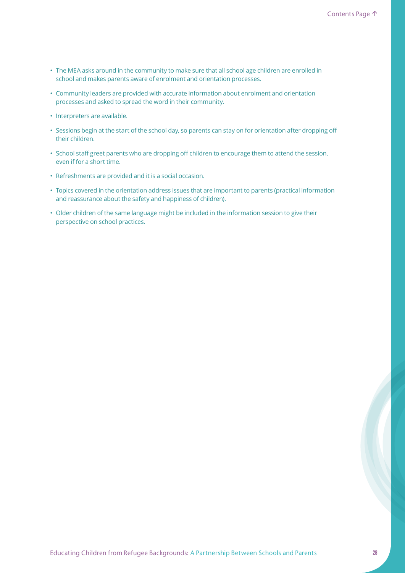- The MEA asks around in the community to make sure that all school age children are enrolled in school and makes parents aware of enrolment and orientation processes.
- Community leaders are provided with accurate information about enrolment and orientation processes and asked to spread the word in their community.
- Interpreters are available.
- Sessions begin at the start of the school day, so parents can stay on for orientation after dropping off their children.
- School staff greet parents who are dropping off children to encourage them to attend the session, even if for a short time.
- Refreshments are provided and it is a social occasion.
- Topics covered in the orientation address issues that are important to parents (practical information and reassurance about the safety and happiness of children).
- Older children of the same language might be included in the information session to give their perspective on school practices.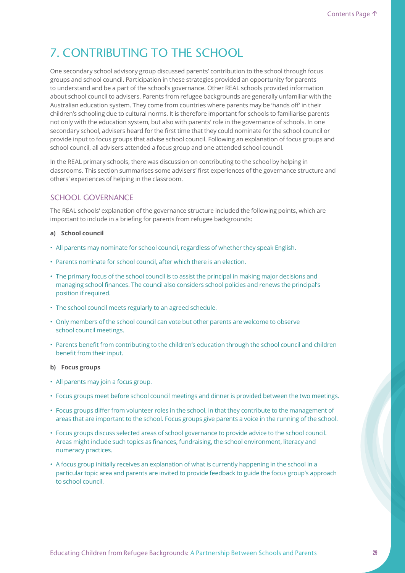# 7. CONTRIBUTING TO THE SCHOOL

One secondary school advisory group discussed parents' contribution to the school through focus groups and school council. Participation in these strategies provided an opportunity for parents to understand and be a part of the school's governance. Other REAL schools provided information about school council to advisers. Parents from refugee backgrounds are generally unfamiliar with the Australian education system. They come from countries where parents may be 'hands off' in their children's schooling due to cultural norms. It is therefore important for schools to familiarise parents not only with the education system, but also with parents' role in the governance of schools. In one secondary school, advisers heard for the first time that they could nominate for the school council or provide input to focus groups that advise school council. Following an explanation of focus groups and school council, all advisers attended a focus group and one attended school council.

In the REAL primary schools, there was discussion on contributing to the school by helping in classrooms. This section summarises some advisers' first experiences of the governance structure and others' experiences of helping in the classroom.

# SCHOOL GOVERNANCE

The REAL schools' explanation of the governance structure included the following points, which are important to include in a briefing for parents from refugee backgrounds:

### **a) School council**

- All parents may nominate for school council, regardless of whether they speak English.
- Parents nominate for school council, after which there is an election.
- The primary focus of the school council is to assist the principal in making major decisions and managing school finances. The council also considers school policies and renews the principal's position if required.
- The school council meets regularly to an agreed schedule.
- Only members of the school council can vote but other parents are welcome to observe school council meetings.
- Parents benefit from contributing to the children's education through the school council and children benefit from their input.

### **b) Focus groups**

- All parents may join a focus group.
- Focus groups meet before school council meetings and dinner is provided between the two meetings.
- Focus groups differ from volunteer roles in the school, in that they contribute to the management of areas that are important to the school. Focus groups give parents a voice in the running of the school.
- Focus groups discuss selected areas of school governance to provide advice to the school council. Areas might include such topics as finances, fundraising, the school environment, literacy and numeracy practices.
- A focus group initially receives an explanation of what is currently happening in the school in a particular topic area and parents are invited to provide feedback to guide the focus group's approach to school council.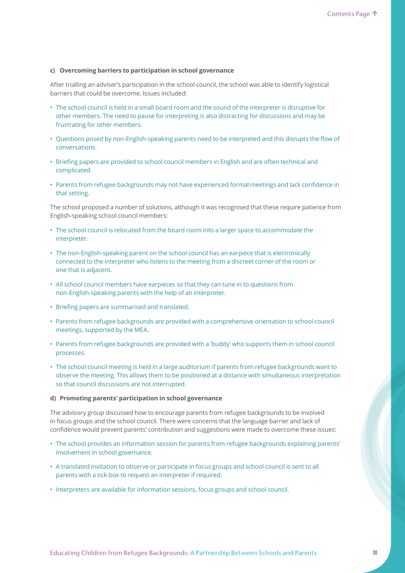### **c) Overcoming barriers to participation in school governance**

After trialling an adviser's participation in the school council, the school was able to identify logistical barriers that could be overcome. Issues included:

- The school council is held in a small board room and the sound of the interpreter is disruptive for other members. The need to pause for interpreting is also distracting for discussions and may be frustrating for other members.
- Questions posed by non-English-speaking parents need to be interpreted and this disrupts the flow of conversations.
- Briefing papers are provided to school council members in English and are often technical and complicated.
- Parents from refugee backgrounds may not have experienced formal meetings and lack confidence in that setting.

The school proposed a number of solutions, although it was recognised that these require patience from English-speaking school council members:

- The school council is relocated from the board room into a larger space to accommodate the interpreter.
- The non-English-speaking parent on the school council has an earpiece that is electronically connected to the interpreter who listens to the meeting from a discreet corner of the room or one that is adjacent.
- All school council members have earpieces so that they can tune in to questions from non-English-speaking parents with the help of an interpreter.
- Briefing papers are summarised and translated.
- Parents from refugee backgrounds are provided with a comprehensive orientation to school council meetings, supported by the MEA.
- Parents from refugee backgrounds are provided with a 'buddy' who supports them in school council processes.
- The school council meeting is held in a large auditorium if parents from refugee backgrounds want to observe the meeting. This allows them to be positioned at a distance with simultaneous interpretation so that council discussions are not interrupted.

### **d) Promoting parents' participation in school governance**

The advisory group discussed how to encourage parents from refugee backgrounds to be involved in focus groups and the school council. There were concerns that the language barrier and lack of confidence would prevent parents' contribution and suggestions were made to overcome these issues:

- The school provides an information session for parents from refugee backgrounds explaining parents' involvement in school governance.
- A translated invitation to observe or participate in focus groups and school council is sent to all parents with a tick-box to request an interpreter if required.
- Interpreters are available for information sessions, focus groups and school council.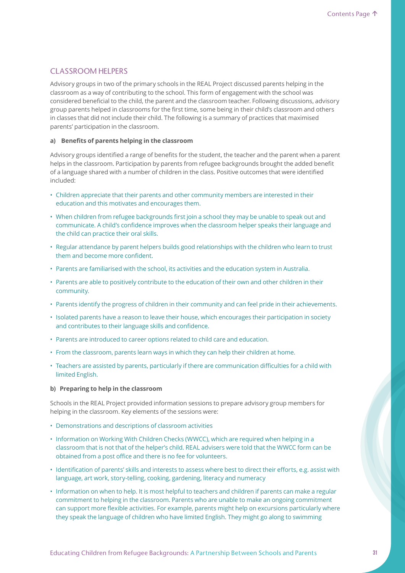## CLASSROOM HELPERS

Advisory groups in two of the primary schools in the REAL Project discussed parents helping in the classroom as a way of contributing to the school. This form of engagement with the school was considered beneficial to the child, the parent and the classroom teacher. Following discussions, advisory group parents helped in classrooms for the first time, some being in their child's classroom and others in classes that did not include their child. The following is a summary of practices that maximised parents' participation in the classroom.

#### **a) Benefits of parents helping in the classroom**

Advisory groups identified a range of benefits for the student, the teacher and the parent when a parent helps in the classroom. Participation by parents from refugee backgrounds brought the added benefit of a language shared with a number of children in the class. Positive outcomes that were identified included:

- Children appreciate that their parents and other community members are interested in their education and this motivates and encourages them.
- When children from refugee backgrounds first join a school they may be unable to speak out and communicate. A child's confidence improves when the classroom helper speaks their language and the child can practice their oral skills.
- Regular attendance by parent helpers builds good relationships with the children who learn to trust them and become more confident.
- Parents are familiarised with the school, its activities and the education system in Australia.
- Parents are able to positively contribute to the education of their own and other children in their community.
- Parents identify the progress of children in their community and can feel pride in their achievements.
- Isolated parents have a reason to leave their house, which encourages their participation in society and contributes to their language skills and confidence.
- Parents are introduced to career options related to child care and education.
- From the classroom, parents learn ways in which they can help their children at home.
- Teachers are assisted by parents, particularly if there are communication difficulties for a child with limited English.

### **b) Preparing to help in the classroom**

Schools in the REAL Project provided information sessions to prepare advisory group members for helping in the classroom. Key elements of the sessions were:

- Demonstrations and descriptions of classroom activities
- Information on Working With Children Checks (WWCC), which are required when helping in a classroom that is not that of the helper's child. REAL advisers were told that the WWCC form can be obtained from a post office and there is no fee for volunteers.
- Identification of parents' skills and interests to assess where best to direct their efforts, e.g. assist with language, art work, story-telling, cooking, gardening, literacy and numeracy
- Information on when to help. It is most helpful to teachers and children if parents can make a regular commitment to helping in the classroom. Parents who are unable to make an ongoing commitment can support more flexible activities. For example, parents might help on excursions particularly where they speak the language of children who have limited English. They might go along to swimming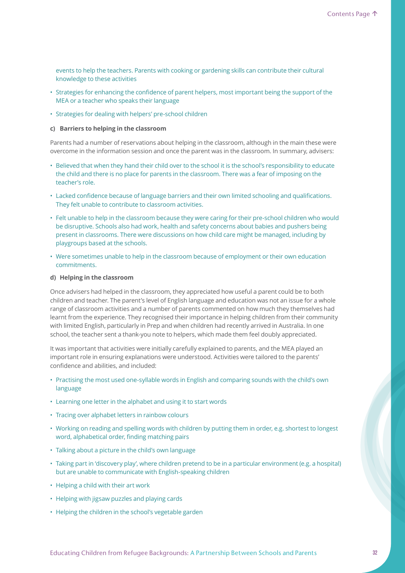events to help the teachers. Parents with cooking or gardening skills can contribute their cultural knowledge to these activities

- Strategies for enhancing the confidence of parent helpers, most important being the support of the MEA or a teacher who speaks their language
- Strategies for dealing with helpers' pre-school children

### **c) Barriers to helping in the classroom**

Parents had a number of reservations about helping in the classroom, although in the main these were overcome in the information session and once the parent was in the classroom. In summary, advisers:

- Believed that when they hand their child over to the school it is the school's responsibility to educate the child and there is no place for parents in the classroom. There was a fear of imposing on the teacher's role.
- Lacked confidence because of language barriers and their own limited schooling and qualifications. They felt unable to contribute to classroom activities.
- Felt unable to help in the classroom because they were caring for their pre-school children who would be disruptive. Schools also had work, health and safety concerns about babies and pushers being present in classrooms. There were discussions on how child care might be managed, including by playgroups based at the schools.
- Were sometimes unable to help in the classroom because of employment or their own education commitments.

#### **d) Helping in the classroom**

Once advisers had helped in the classroom, they appreciated how useful a parent could be to both children and teacher. The parent's level of English language and education was not an issue for a whole range of classroom activities and a number of parents commented on how much they themselves had learnt from the experience. They recognised their importance in helping children from their community with limited English, particularly in Prep and when children had recently arrived in Australia. In one school, the teacher sent a thank-you note to helpers, which made them feel doubly appreciated.

It was important that activities were initially carefully explained to parents, and the MEA played an important role in ensuring explanations were understood. Activities were tailored to the parents' confidence and abilities, and included:

- Practising the most used one-syllable words in English and comparing sounds with the child's own language
- Learning one letter in the alphabet and using it to start words
- Tracing over alphabet letters in rainbow colours
- Working on reading and spelling words with children by putting them in order, e.g. shortest to longest word, alphabetical order, finding matching pairs
- Talking about a picture in the child's own language
- Taking part in 'discovery play', where children pretend to be in a particular environment (e.g. a hospital) but are unable to communicate with English-speaking children
- Helping a child with their art work
- Helping with jigsaw puzzles and playing cards
- Helping the children in the school's vegetable garden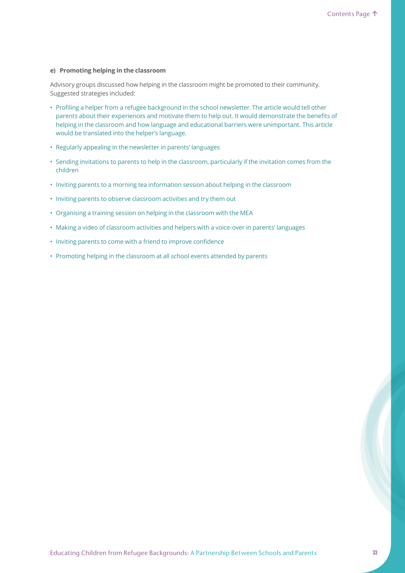### **e) Promoting helping in the classroom**

Advisory groups discussed how helping in the classroom might be promoted to their community. Suggested strategies included:

- Profiling a helper from a refugee background in the school newsletter. The article would tell other parents about their experiences and motivate them to help out. It would demonstrate the benefits of helping in the classroom and how language and educational barriers were unimportant. This article would be translated into the helper's language.
- Regularly appealing in the newsletter in parents' languages
- Sending invitations to parents to help in the classroom, particularly if the invitation comes from the children
- Inviting parents to a morning tea information session about helping in the classroom
- Inviting parents to observe classroom activities and try them out
- Organising a training session on helping in the classroom with the MEA
- Making a video of classroom activities and helpers with a voice-over in parents' languages
- Inviting parents to come with a friend to improve confidence
- Promoting helping in the classroom at all school events attended by parents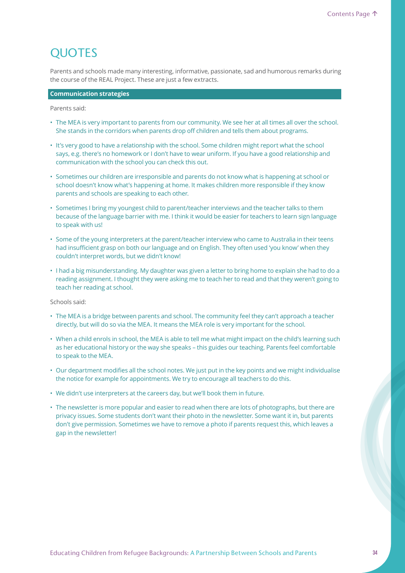# **QUOTES**

Parents and schools made many interesting, informative, passionate, sad and humorous remarks during the course of the REAL Project. These are just a few extracts.

### **Communication strategies**

Parents said:

- The MEA is very important to parents from our community. We see her at all times all over the school. She stands in the corridors when parents drop off children and tells them about programs.
- It's very good to have a relationship with the school. Some children might report what the school says, e.g. there's no homework or I don't have to wear uniform. If you have a good relationship and communication with the school you can check this out.
- Sometimes our children are irresponsible and parents do not know what is happening at school or school doesn't know what's happening at home. It makes children more responsible if they know parents and schools are speaking to each other.
- Sometimes I bring my youngest child to parent/teacher interviews and the teacher talks to them because of the language barrier with me. I think it would be easier for teachers to learn sign language to speak with us!
- Some of the young interpreters at the parent/teacher interview who came to Australia in their teens had insufficient grasp on both our language and on English. They often used 'you know' when they couldn't interpret words, but we didn't know!
- I had a big misunderstanding. My daughter was given a letter to bring home to explain she had to do a reading assignment. I thought they were asking me to teach her to read and that they weren't going to teach her reading at school.

Schools said:

- The MEA is a bridge between parents and school. The community feel they can't approach a teacher directly, but will do so via the MEA. It means the MEA role is very important for the school.
- When a child enrols in school, the MEA is able to tell me what might impact on the child's learning such as her educational history or the way she speaks – this guides our teaching. Parents feel comfortable to speak to the MEA.
- Our department modifies all the school notes. We just put in the key points and we might individualise the notice for example for appointments. We try to encourage all teachers to do this.
- We didn't use interpreters at the careers day, but we'll book them in future.
- The newsletter is more popular and easier to read when there are lots of photographs, but there are privacy issues. Some students don't want their photo in the newsletter. Some want it in, but parents don't give permission. Sometimes we have to remove a photo if parents request this, which leaves a gap in the newsletter!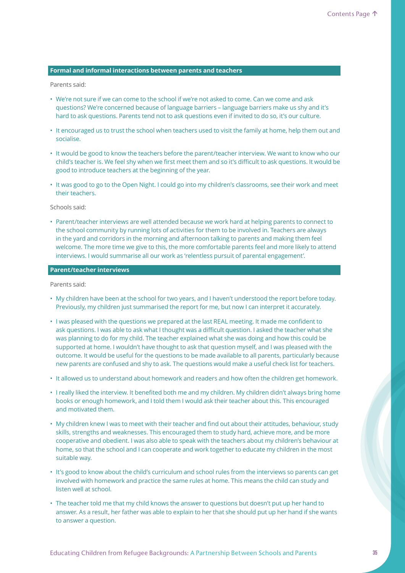### **Formal and informal interactions between parents and teachers**

Parents said:

- We're not sure if we can come to the school if we're not asked to come. Can we come and ask questions? We're concerned because of language barriers – language barriers make us shy and it's hard to ask questions. Parents tend not to ask questions even if invited to do so, it's our culture.
- It encouraged us to trust the school when teachers used to visit the family at home, help them out and socialise.
- It would be good to know the teachers before the parent/teacher interview. We want to know who our child's teacher is. We feel shy when we first meet them and so it's difficult to ask questions. It would be good to introduce teachers at the beginning of the year.
- It was good to go to the Open Night. I could go into my children's classrooms, see their work and meet their teachers.

Schools said:

• Parent/teacher interviews are well attended because we work hard at helping parents to connect to the school community by running lots of activities for them to be involved in. Teachers are always in the yard and corridors in the morning and afternoon talking to parents and making them feel welcome. The more time we give to this, the more comfortable parents feel and more likely to attend interviews. I would summarise all our work as 'relentless pursuit of parental engagement'.

**Parent/teacher interviews**

Parents said:

- My children have been at the school for two years, and I haven't understood the report before today. Previously, my children just summarised the report for me, but now I can interpret it accurately.
- I was pleased with the questions we prepared at the last REAL meeting. It made me confident to ask questions. I was able to ask what I thought was a difficult question. I asked the teacher what she was planning to do for my child. The teacher explained what she was doing and how this could be supported at home. I wouldn't have thought to ask that question myself, and I was pleased with the outcome. It would be useful for the questions to be made available to all parents, particularly because new parents are confused and shy to ask. The questions would make a useful check list for teachers.
- It allowed us to understand about homework and readers and how often the children get homework.
- I really liked the interview. It benefited both me and my children. My children didn't always bring home books or enough homework, and I told them I would ask their teacher about this. This encouraged and motivated them.
- My children knew I was to meet with their teacher and find out about their attitudes, behaviour, study skills, strengths and weaknesses. This encouraged them to study hard, achieve more, and be more cooperative and obedient. I was also able to speak with the teachers about my children's behaviour at home, so that the school and I can cooperate and work together to educate my children in the most suitable way.
- It's good to know about the child's curriculum and school rules from the interviews so parents can get involved with homework and practice the same rules at home. This means the child can study and listen well at school.
- The teacher told me that my child knows the answer to questions but doesn't put up her hand to answer. As a result, her father was able to explain to her that she should put up her hand if she wants to answer a question.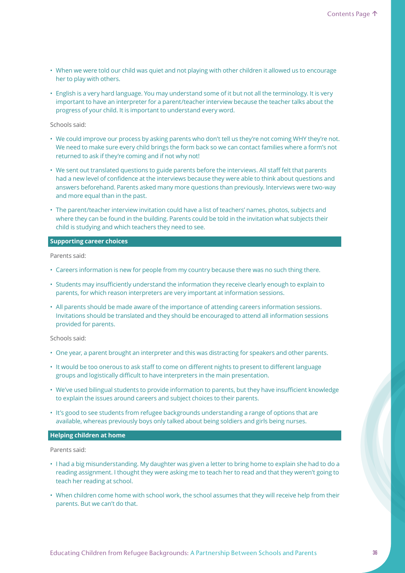- When we were told our child was quiet and not playing with other children it allowed us to encourage her to play with others.
- English is a very hard language. You may understand some of it but not all the terminology. It is very important to have an interpreter for a parent/teacher interview because the teacher talks about the progress of your child. It is important to understand every word.

### Schools said:

- We could improve our process by asking parents who don't tell us they're not coming WHY they're not. We need to make sure every child brings the form back so we can contact families where a form's not returned to ask if they're coming and if not why not!
- We sent out translated questions to guide parents before the interviews. All staff felt that parents had a new level of confidence at the interviews because they were able to think about questions and answers beforehand. Parents asked many more questions than previously. Interviews were two-way and more equal than in the past.
- The parent/teacher interview invitation could have a list of teachers' names, photos, subjects and where they can be found in the building. Parents could be told in the invitation what subjects their child is studying and which teachers they need to see.

### **Supporting career choices**

Parents said:

- Careers information is new for people from my country because there was no such thing there.
- Students may insufficiently understand the information they receive clearly enough to explain to parents, for which reason interpreters are very important at information sessions.
- All parents should be made aware of the importance of attending careers information sessions. Invitations should be translated and they should be encouraged to attend all information sessions provided for parents.

Schools said:

- One year, a parent brought an interpreter and this was distracting for speakers and other parents.
- It would be too onerous to ask staff to come on different nights to present to different language groups and logistically difficult to have interpreters in the main presentation.
- We've used bilingual students to provide information to parents, but they have insufficient knowledge to explain the issues around careers and subject choices to their parents.
- It's good to see students from refugee backgrounds understanding a range of options that are available, whereas previously boys only talked about being soldiers and girls being nurses.

### **Helping children at home**

Parents said:

- I had a big misunderstanding. My daughter was given a letter to bring home to explain she had to do a reading assignment. I thought they were asking me to teach her to read and that they weren't going to teach her reading at school.
- When children come home with school work, the school assumes that they will receive help from their parents. But we can't do that.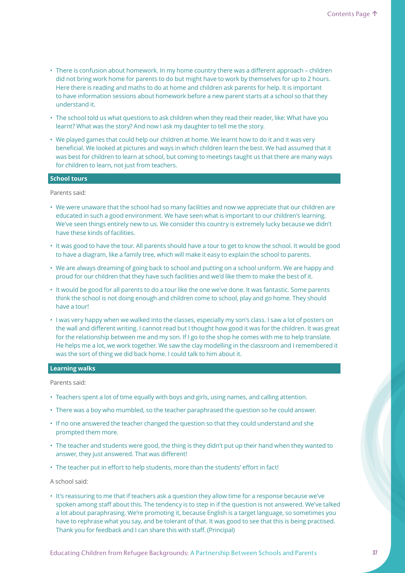- There is confusion about homework. In my home country there was a different approach children did not bring work home for parents to do but might have to work by themselves for up to 2 hours. Here there is reading and maths to do at home and children ask parents for help. It is important to have information sessions about homework before a new parent starts at a school so that they understand it.
- The school told us what questions to ask children when they read their reader, like: What have you learnt? What was the story? And now I ask my daughter to tell me the story.
- We played games that could help our children at home. We learnt how to do it and it was very beneficial. We looked at pictures and ways in which children learn the best. We had assumed that it was best for children to learn at school, but coming to meetings taught us that there are many ways for children to learn, not just from teachers.

### **School tours**

Parents said:

- We were unaware that the school had so many facilities and now we appreciate that our children are educated in such a good environment. We have seen what is important to our children's learning. We've seen things entirely new to us. We consider this country is extremely lucky because we didn't have these kinds of facilities.
- It was good to have the tour. All parents should have a tour to get to know the school. It would be good to have a diagram, like a family tree, which will make it easy to explain the school to parents.
- We are always dreaming of going back to school and putting on a school uniform. We are happy and proud for our children that they have such facilities and we'd like them to make the best of it.
- It would be good for all parents to do a tour like the one we've done. It was fantastic. Some parents think the school is not doing enough and children come to school, play and go home. They should have a tour!
- I was very happy when we walked into the classes, especially my son's class. I saw a lot of posters on the wall and different writing. I cannot read but I thought how good it was for the children. It was great for the relationship between me and my son. If I go to the shop he comes with me to help translate. He helps me a lot, we work together. We saw the clay modelling in the classroom and I remembered it was the sort of thing we did back home. I could talk to him about it.

### **Learning walks**

Parents said:

- Teachers spent a lot of time equally with boys and girls, using names, and calling attention.
- There was a boy who mumbled, so the teacher paraphrased the question so he could answer.
- If no one answered the teacher changed the question so that they could understand and she prompted them more.
- The teacher and students were good, the thing is they didn't put up their hand when they wanted to answer, they just answered. That was different!
- The teacher put in effort to help students, more than the students' effort in fact!

A school said:

• It's reassuring to me that if teachers ask a question they allow time for a response because we've spoken among staff about this. The tendency is to step in if the question is not answered. We've talked a lot about paraphrasing. We're promoting it, because English is a target language, so sometimes you have to rephrase what you say, and be tolerant of that. It was good to see that this is being practised. Thank you for feedback and I can share this with staff. (Principal)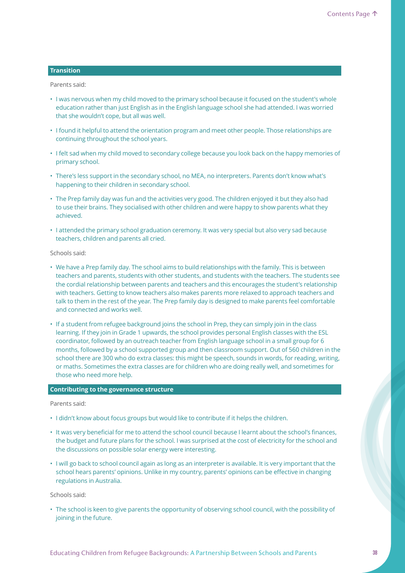#### **Transition**

Parents said:

- I was nervous when my child moved to the primary school because it focused on the student's whole education rather than just English as in the English language school she had attended. I was worried that she wouldn't cope, but all was well.
- I found it helpful to attend the orientation program and meet other people. Those relationships are continuing throughout the school years.
- I felt sad when my child moved to secondary college because you look back on the happy memories of primary school.
- There's less support in the secondary school, no MEA, no interpreters. Parents don't know what's happening to their children in secondary school.
- The Prep family day was fun and the activities very good. The children enjoyed it but they also had to use their brains. They socialised with other children and were happy to show parents what they achieved.
- I attended the primary school graduation ceremony. It was very special but also very sad because teachers, children and parents all cried.

Schools said:

- We have a Prep family day. The school aims to build relationships with the family. This is between teachers and parents, students with other students, and students with the teachers. The students see the cordial relationship between parents and teachers and this encourages the student's relationship with teachers. Getting to know teachers also makes parents more relaxed to approach teachers and talk to them in the rest of the year. The Prep family day is designed to make parents feel comfortable and connected and works well.
- If a student from refugee background joins the school in Prep, they can simply join in the class learning. If they join in Grade 1 upwards, the school provides personal English classes with the ESL coordinator, followed by an outreach teacher from English language school in a small group for 6 months, followed by a school supported group and then classroom support. Out of 560 children in the school there are 300 who do extra classes: this might be speech, sounds in words, for reading, writing, or maths. Sometimes the extra classes are for children who are doing really well, and sometimes for those who need more help.

#### **Contributing to the governance structure**

Parents said:

- I didn't know about focus groups but would like to contribute if it helps the children.
- It was very beneficial for me to attend the school council because I learnt about the school's finances, the budget and future plans for the school. I was surprised at the cost of electricity for the school and the discussions on possible solar energy were interesting.
- I will go back to school council again as long as an interpreter is available. It is very important that the school hears parents' opinions. Unlike in my country, parents' opinions can be effective in changing regulations in Australia.

Schools said:

• The school is keen to give parents the opportunity of observing school council, with the possibility of joining in the future.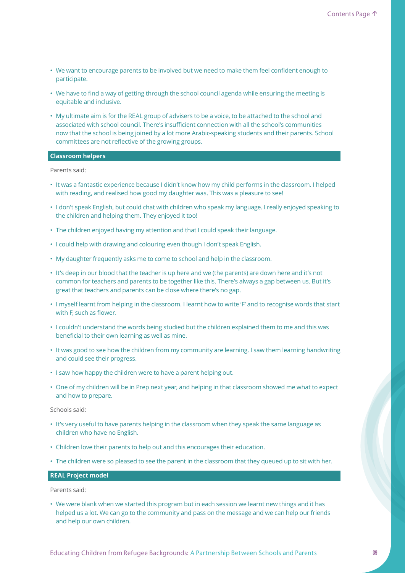- We want to encourage parents to be involved but we need to make them feel confident enough to participate.
- We have to find a way of getting through the school council agenda while ensuring the meeting is equitable and inclusive.
- My ultimate aim is for the REAL group of advisers to be a voice, to be attached to the school and associated with school council. There's insufficient connection with all the school's communities now that the school is being joined by a lot more Arabic-speaking students and their parents. School committees are not reflective of the growing groups.

### **Classroom helpers**

Parents said:

- It was a fantastic experience because I didn't know how my child performs in the classroom. I helped with reading, and realised how good my daughter was. This was a pleasure to see!
- I don't speak English, but could chat with children who speak my language. I really enjoyed speaking to the children and helping them. They enjoyed it too!
- The children enjoyed having my attention and that I could speak their language.
- I could help with drawing and colouring even though I don't speak English.
- My daughter frequently asks me to come to school and help in the classroom.
- It's deep in our blood that the teacher is up here and we (the parents) are down here and it's not common for teachers and parents to be together like this. There's always a gap between us. But it's great that teachers and parents can be close where there's no gap.
- I myself learnt from helping in the classroom. I learnt how to write 'F' and to recognise words that start with F, such as flower.
- I couldn't understand the words being studied but the children explained them to me and this was beneficial to their own learning as well as mine.
- It was good to see how the children from my community are learning. I saw them learning handwriting and could see their progress.
- I saw how happy the children were to have a parent helping out.
- One of my children will be in Prep next year, and helping in that classroom showed me what to expect and how to prepare.

Schools said:

- It's very useful to have parents helping in the classroom when they speak the same language as children who have no English.
- Children love their parents to help out and this encourages their education.
- The children were so pleased to see the parent in the classroom that they queued up to sit with her.

#### **REAL Project model**

Parents said:

• We were blank when we started this program but in each session we learnt new things and it has helped us a lot. We can go to the community and pass on the message and we can help our friends and help our own children.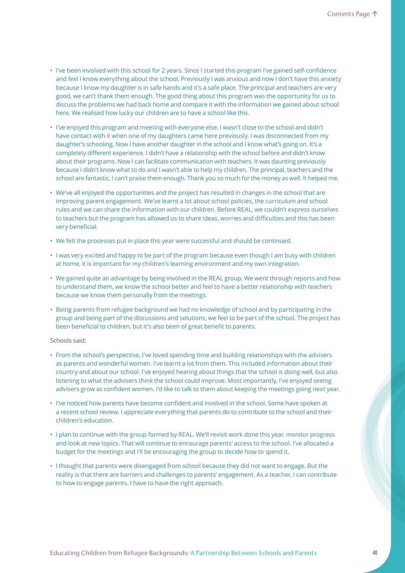- I've been involved with this school for 2 years. Since I started this program I've gained self-confidence and feel I know everything about the school. Previously I was anxious and now I don't have this anxiety because I know my daughter is in safe hands and it's a safe place. The principal and teachers are very good, we can't thank them enough. The good thing about this program was the opportunity for us to discuss the problems we had back home and compare it with the information we gained about school here. We realised how lucky our children are to have a school like this.
- I've enjoyed this program and meeting with everyone else. I wasn't close to the school and didn't have contact with it when one of my daughters came here previously. I was disconnected from my daughter's schooling. Now I have another daughter in the school and I know what's going on. It's a completely different experience. I didn't have a relationship with the school before and didn't know about their programs. Now I can facilitate communication with teachers. It was daunting previously because I didn't know what to do and I wasn't able to help my children. The principal, teachers and the school are fantastic, I can't praise them enough. Thank you so much for the money as well. It helped me.
- We've all enjoyed the opportunities and the project has resulted in changes in the school that are improving parent engagement. We've learnt a lot about school policies, the curriculum and school rules and we can share the information with our children. Before REAL, we couldn't express ourselves to teachers but the program has allowed us to share ideas, worries and difficulties and this has been very beneficial.
- We felt the processes put in place this year were successful and should be continued.
- I was very excited and happy to be part of the program because even though I am busy with children at home, it is important for my children's learning environment and my own integration.
- We gained quite an advantage by being involved in the REAL group. We went through reports and how to understand them, we know the school better and feel to have a better relationship with teachers because we know them personally from the meetings.
- Being parents from refugee background we had no knowledge of school and by participating in the group and being part of the discussions and solutions, we feel to be part of the school. The project has been beneficial to children, but it's also been of great benefit to parents.

### Schools said:

- From the school's perspective, I've loved spending time and building relationships with the advisers as parents and wonderful women. I've learnt a lot from them. This included information about their country and about our school. I've enjoyed hearing about things that the school is doing well, but also listening to what the advisers think the school could improve. Most importantly, I've enjoyed seeing advisers grow as confident women. I'd like to talk to them about keeping the meetings going next year.
- I've noticed how parents have become confident and involved in the school. Some have spoken at a recent school review. I appreciate everything that parents do to contribute to the school and their children's education.
- I plan to continue with the group formed by REAL. We'll revisit work done this year, monitor progress and look at new topics. That will continue to encourage parents' access to the school. I've allocated a budget for the meetings and I'll be encouraging the group to decide how to spend it.
- I thought that parents were disengaged from school because they did not want to engage. But the reality is that there are barriers and challenges to parents' engagement. As a teacher, I can contribute to how to engage parents. I have to have the right approach.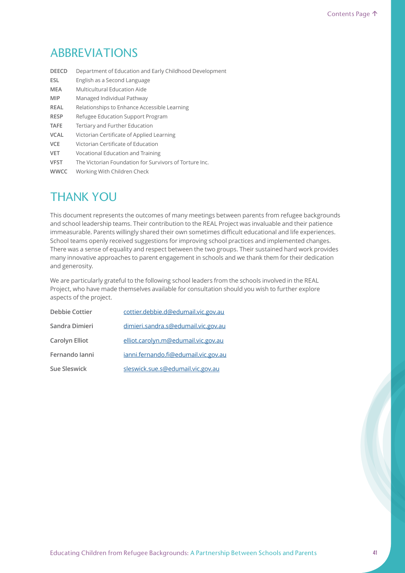# ABBREVIATIONS

| Department of Education and Early Childhood Development |
|---------------------------------------------------------|
| English as a Second Language                            |
| Multicultural Education Aide                            |
| Managed Individual Pathway                              |
| Relationships to Enhance Accessible Learning            |
| Refugee Education Support Program                       |
| Tertiary and Further Education                          |
| Victorian Certificate of Applied Learning               |
| Victorian Certificate of Education                      |
| Vocational Education and Training                       |
| The Victorian Foundation for Survivors of Torture Inc.  |
| Working With Children Check                             |
|                                                         |

# THANK YOU

This document represents the outcomes of many meetings between parents from refugee backgrounds and school leadership teams. Their contribution to the REAL Project was invaluable and their patience immeasurable. Parents willingly shared their own sometimes difficult educational and life experiences. School teams openly received suggestions for improving school practices and implemented changes. There was a sense of equality and respect between the two groups. Their sustained hard work provides many innovative approaches to parent engagement in schools and we thank them for their dedication and generosity.

We are particularly grateful to the following school leaders from the schools involved in the REAL Project, who have made themselves available for consultation should you wish to further explore aspects of the project.

| <b>Debbie Cottier</b> | cottier.debbie.d@edumail.vic.gov.au  |
|-----------------------|--------------------------------------|
| Sandra Dimieri        | dimieri.sandra.s@edumail.vic.gov.au  |
| Carolyn Elliot        | elliot.carolyn.m@edumail.vic.gov.au  |
| Fernando Ianni        | janni.fernando.fi@edumail.vic.gov.au |
| Sue Sleswick          | sleswick.sue.s@edumail.vic.gov.au    |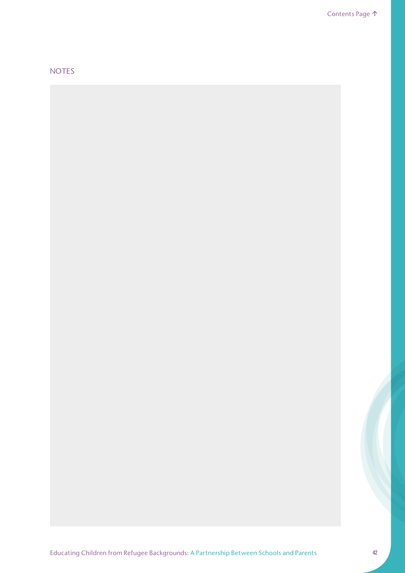# NOTES